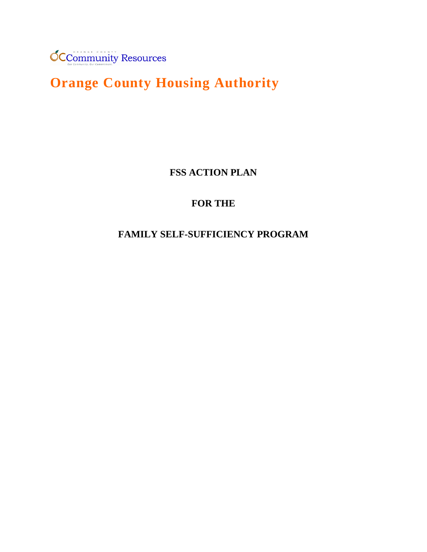

# **Orange County Housing Authority**

**FSS ACTION PLAN**

# **FOR THE**

# **FAMILY SELF-SUFFICIENCY PROGRAM**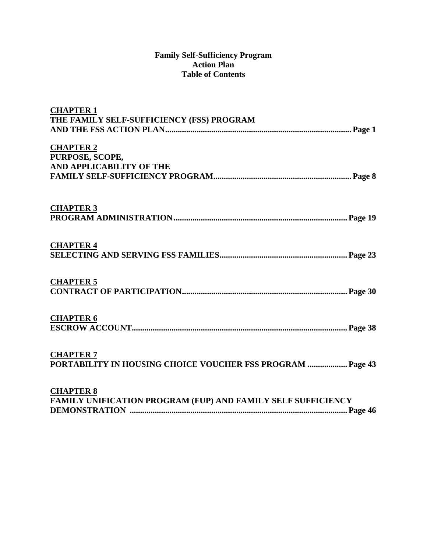#### **Family Self-Sufficiency Program Action Plan Table of Contents**

| <b>CHAPTER 1</b><br>THE FAMILY SELF-SUFFICIENCY (FSS) PROGRAM |
|---------------------------------------------------------------|
|                                                               |
| <b>CHAPTER 2</b>                                              |
| PURPOSE, SCOPE,                                               |
| AND APPLICABILITY OF THE                                      |
|                                                               |
| <b>CHAPTER 3</b>                                              |
| <b>CHAPTER 4</b>                                              |
|                                                               |
| <b>CHAPTER 5</b>                                              |
|                                                               |
| <b>CHAPTER 6</b>                                              |
|                                                               |
| <b>CHAPTER 7</b>                                              |
| PORTABILITY IN HOUSING CHOICE VOUCHER FSS PROGRAM  Page 43    |
| <b>CHAPTER 8</b>                                              |
| FAMILY UNIFICATION PROGRAM (FUP) AND FAMILY SELF SUFFICIENCY  |
|                                                               |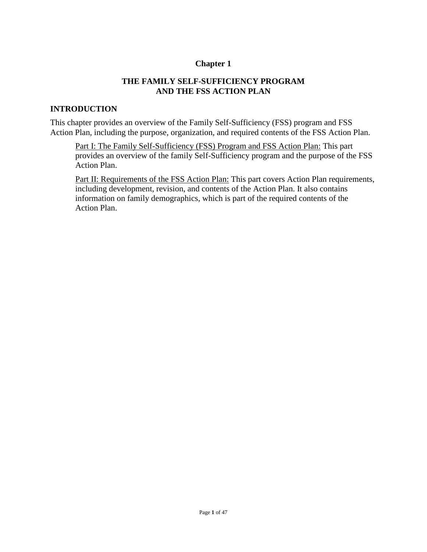#### **Chapter 1**

#### **THE FAMILY SELF-SUFFICIENCY PROGRAM AND THE FSS ACTION PLAN**

#### **INTRODUCTION**

This chapter provides an overview of the Family Self-Sufficiency (FSS) program and FSS Action Plan, including the purpose, organization, and required contents of the FSS Action Plan.

Part I: The Family Self-Sufficiency (FSS) Program and FSS Action Plan: This part provides an overview of the family Self-Sufficiency program and the purpose of the FSS Action Plan.

Part II: Requirements of the FSS Action Plan: This part covers Action Plan requirements, including development, revision, and contents of the Action Plan. It also contains information on family demographics, which is part of the required contents of the Action Plan.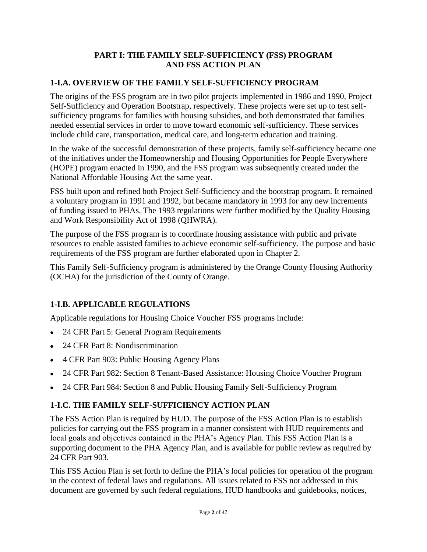## **PART I: THE FAMILY SELF-SUFFICIENCY (FSS) PROGRAM AND FSS ACTION PLAN**

## **1-I.A. OVERVIEW OF THE FAMILY SELF-SUFFICIENCY PROGRAM**

The origins of the FSS program are in two pilot projects implemented in 1986 and 1990, Project Self-Sufficiency and Operation Bootstrap, respectively. These projects were set up to test selfsufficiency programs for families with housing subsidies, and both demonstrated that families needed essential services in order to move toward economic self-sufficiency. These services include child care, transportation, medical care, and long-term education and training.

In the wake of the successful demonstration of these projects, family self-sufficiency became one of the initiatives under the Homeownership and Housing Opportunities for People Everywhere (HOPE) program enacted in 1990, and the FSS program was subsequently created under the National Affordable Housing Act the same year.

FSS built upon and refined both Project Self-Sufficiency and the bootstrap program. It remained a voluntary program in 1991 and 1992, but became mandatory in 1993 for any new increments of funding issued to PHAs. The 1993 regulations were further modified by the Quality Housing and Work Responsibility Act of 1998 (QHWRA).

The purpose of the FSS program is to coordinate housing assistance with public and private resources to enable assisted families to achieve economic self-sufficiency. The purpose and basic requirements of the FSS program are further elaborated upon in Chapter 2.

This Family Self-Sufficiency program is administered by the Orange County Housing Authority (OCHA) for the jurisdiction of the County of Orange.

## **1-I.B. APPLICABLE REGULATIONS**

Applicable regulations for Housing Choice Voucher FSS programs include:

- 24 CFR Part 5: General Program Requirements
- 24 CFR Part 8: Nondiscrimination
- 4 CFR Part 903: Public Housing Agency Plans
- 24 CFR Part 982: Section 8 Tenant-Based Assistance: Housing Choice Voucher Program
- 24 CFR Part 984: Section 8 and Public Housing Family Self-Sufficiency Program

## **1-I.C. THE FAMILY SELF-SUFFICIENCY ACTION PLAN**

The FSS Action Plan is required by HUD. The purpose of the FSS Action Plan is to establish policies for carrying out the FSS program in a manner consistent with HUD requirements and local goals and objectives contained in the PHA's Agency Plan. This FSS Action Plan is a supporting document to the PHA Agency Plan, and is available for public review as required by 24 CFR Part 903.

This FSS Action Plan is set forth to define the PHA's local policies for operation of the program in the context of federal laws and regulations. All issues related to FSS not addressed in this document are governed by such federal regulations, HUD handbooks and guidebooks, notices,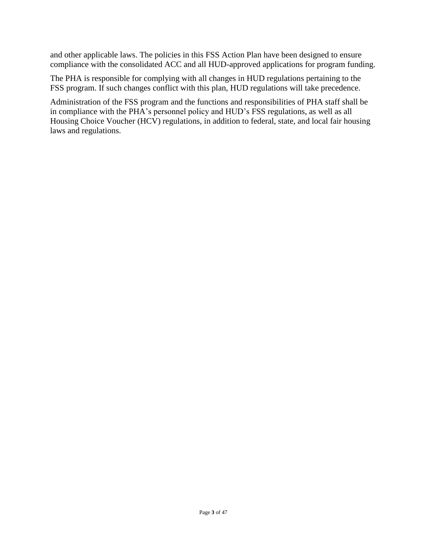and other applicable laws. The policies in this FSS Action Plan have been designed to ensure compliance with the consolidated ACC and all HUD-approved applications for program funding.

The PHA is responsible for complying with all changes in HUD regulations pertaining to the FSS program. If such changes conflict with this plan, HUD regulations will take precedence.

Administration of the FSS program and the functions and responsibilities of PHA staff shall be in compliance with the PHA's personnel policy and HUD's FSS regulations, as well as all Housing Choice Voucher (HCV) regulations, in addition to federal, state, and local fair housing laws and regulations.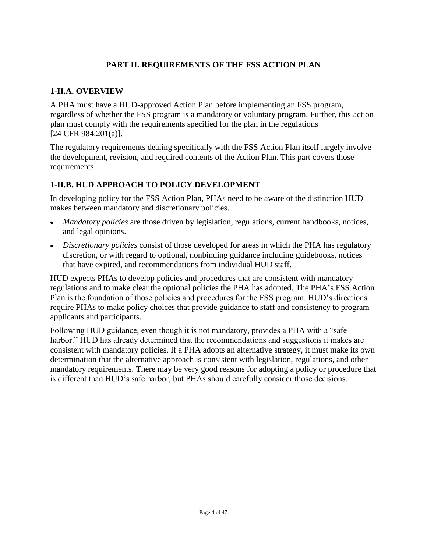## **PART II. REQUIREMENTS OF THE FSS ACTION PLAN**

## **1-II.A. OVERVIEW**

A PHA must have a HUD-approved Action Plan before implementing an FSS program, regardless of whether the FSS program is a mandatory or voluntary program. Further, this action plan must comply with the requirements specified for the plan in the regulations [24 CFR 984.201(a)].

The regulatory requirements dealing specifically with the FSS Action Plan itself largely involve the development, revision, and required contents of the Action Plan. This part covers those requirements.

## **1-II.B. HUD APPROACH TO POLICY DEVELOPMENT**

In developing policy for the FSS Action Plan, PHAs need to be aware of the distinction HUD makes between mandatory and discretionary policies.

- *Mandatory policies* are those driven by legislation, regulations, current handbooks, notices, and legal opinions.
- *Discretionary policies* consist of those developed for areas in which the PHA has regulatory discretion, or with regard to optional, nonbinding guidance including guidebooks, notices that have expired, and recommendations from individual HUD staff.

HUD expects PHAs to develop policies and procedures that are consistent with mandatory regulations and to make clear the optional policies the PHA has adopted. The PHA's FSS Action Plan is the foundation of those policies and procedures for the FSS program. HUD's directions require PHAs to make policy choices that provide guidance to staff and consistency to program applicants and participants.

Following HUD guidance, even though it is not mandatory, provides a PHA with a "safe harbor." HUD has already determined that the recommendations and suggestions it makes are consistent with mandatory policies. If a PHA adopts an alternative strategy, it must make its own determination that the alternative approach is consistent with legislation, regulations, and other mandatory requirements. There may be very good reasons for adopting a policy or procedure that is different than HUD's safe harbor, but PHAs should carefully consider those decisions.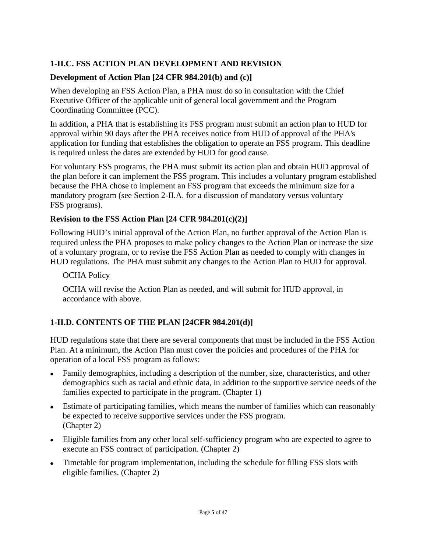## **1-II.C. FSS ACTION PLAN DEVELOPMENT AND REVISION**

## **Development of Action Plan [24 CFR 984.201(b) and (c)]**

When developing an FSS Action Plan, a PHA must do so in consultation with the Chief Executive Officer of the applicable unit of general local government and the Program Coordinating Committee (PCC).

In addition, a PHA that is establishing its FSS program must submit an action plan to HUD for approval within 90 days after the PHA receives notice from HUD of approval of the PHA's application for funding that establishes the obligation to operate an FSS program. This deadline is required unless the dates are extended by HUD for good cause.

For voluntary FSS programs, the PHA must submit its action plan and obtain HUD approval of the plan before it can implement the FSS program. This includes a voluntary program established because the PHA chose to implement an FSS program that exceeds the minimum size for a mandatory program (see Section 2-II.A. for a discussion of mandatory versus voluntary FSS programs).

## **Revision to the FSS Action Plan [24 CFR 984.201(c)(2)]**

Following HUD's initial approval of the Action Plan, no further approval of the Action Plan is required unless the PHA proposes to make policy changes to the Action Plan or increase the size of a voluntary program, or to revise the FSS Action Plan as needed to comply with changes in HUD regulations. The PHA must submit any changes to the Action Plan to HUD for approval.

#### **OCHA Policy**

OCHA will revise the Action Plan as needed, and will submit for HUD approval, in accordance with above.

## **1-II.D. CONTENTS OF THE PLAN [24CFR 984.201(d)]**

HUD regulations state that there are several components that must be included in the FSS Action Plan. At a minimum, the Action Plan must cover the policies and procedures of the PHA for operation of a local FSS program as follows:

- Family demographics, including a description of the number, size, characteristics, and other demographics such as racial and ethnic data, in addition to the supportive service needs of the families expected to participate in the program. (Chapter 1)
- Estimate of participating families, which means the number of families which can reasonably be expected to receive supportive services under the FSS program. (Chapter 2)
- Eligible families from any other local self-sufficiency program who are expected to agree to execute an FSS contract of participation. (Chapter 2)
- Timetable for program implementation, including the schedule for filling FSS slots with eligible families. (Chapter 2)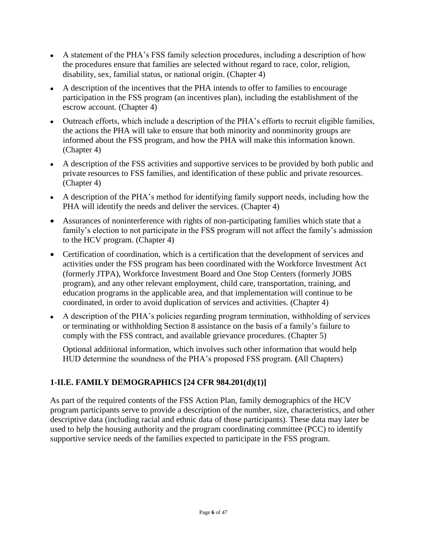- A statement of the PHA's FSS family selection procedures, including a description of how the procedures ensure that families are selected without regard to race, color, religion, disability, sex, familial status, or national origin. (Chapter 4)
- A description of the incentives that the PHA intends to offer to families to encourage participation in the FSS program (an incentives plan), including the establishment of the escrow account. (Chapter 4)
- Outreach efforts, which include a description of the PHA's efforts to recruit eligible families, the actions the PHA will take to ensure that both minority and nonminority groups are informed about the FSS program, and how the PHA will make this information known. (Chapter 4)
- A description of the FSS activities and supportive services to be provided by both public and private resources to FSS families, and identification of these public and private resources. (Chapter 4)
- A description of the PHA's method for identifying family support needs, including how the PHA will identify the needs and deliver the services. (Chapter 4)
- Assurances of noninterference with rights of non-participating families which state that a family's election to not participate in the FSS program will not affect the family's admission to the HCV program. (Chapter 4)
- Certification of coordination, which is a certification that the development of services and activities under the FSS program has been coordinated with the Workforce Investment Act (formerly JTPA), Workforce Investment Board and One Stop Centers (formerly JOBS program), and any other relevant employment, child care, transportation, training, and education programs in the applicable area, and that implementation will continue to be coordinated, in order to avoid duplication of services and activities. (Chapter 4)
- A description of the PHA's policies regarding program termination, withholding of services or terminating or withholding Section 8 assistance on the basis of a family's failure to comply with the FSS contract, and available grievance procedures. (Chapter 5)

Optional additional information, which involves such other information that would help HUD determine the soundness of the PHA's proposed FSS program. **(**All Chapters)

## **1-II.E. FAMILY DEMOGRAPHICS [24 CFR 984.201(d)(1)]**

As part of the required contents of the FSS Action Plan, family demographics of the HCV program participants serve to provide a description of the number, size, characteristics, and other descriptive data (including racial and ethnic data of those participants). These data may later be used to help the housing authority and the program coordinating committee (PCC) to identify supportive service needs of the families expected to participate in the FSS program.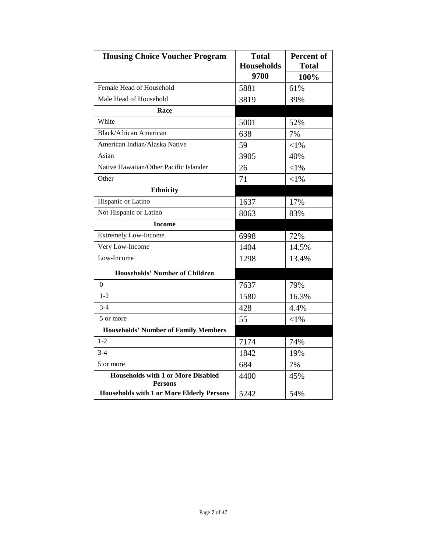| <b>Housing Choice Voucher Program</b>                       | <b>Total</b><br><b>Households</b> | Percent of<br><b>Total</b> |
|-------------------------------------------------------------|-----------------------------------|----------------------------|
|                                                             | 9700                              | 100%                       |
| Female Head of Household                                    | 5881                              | 61%                        |
| Male Head of Household                                      | 3819                              | 39%                        |
| Race                                                        |                                   |                            |
| White                                                       | 5001                              | 52%                        |
| <b>Black/African American</b>                               | 638                               | 7%                         |
| American Indian/Alaska Native                               | 59                                | $<$ 1%                     |
| Asian                                                       | 3905                              | 40%                        |
| Native Hawaiian/Other Pacific Islander                      | 26                                | $<$ 1%                     |
| Other                                                       | 71                                | $< 1\%$                    |
| <b>Ethnicity</b>                                            |                                   |                            |
| Hispanic or Latino                                          | 1637                              | 17%                        |
| Not Hispanic or Latino                                      | 8063                              | 83%                        |
| <b>Income</b>                                               |                                   |                            |
| <b>Extremely Low-Income</b>                                 | 6998                              | 72%                        |
| Very Low-Income                                             | 1404                              | 14.5%                      |
| Low-Income                                                  | 1298                              | 13.4%                      |
| <b>Households' Number of Children</b>                       |                                   |                            |
| $\Omega$                                                    | 7637                              | 79%                        |
| $1 - 2$                                                     | 1580                              | 16.3%                      |
| $3-4$                                                       | 428                               | 4.4%                       |
| 5 or more                                                   | 55                                | $< 1\%$                    |
| <b>Households' Number of Family Members</b>                 |                                   |                            |
| $1 - 2$                                                     | 7174                              | 74%                        |
| $3-4$                                                       | 1842                              | 19%                        |
| 5 or more                                                   | 684                               | 7%                         |
| <b>Households with 1 or More Disabled</b><br><b>Persons</b> | 4400                              | 45%                        |
| <b>Households with 1 or More Elderly Persons</b>            | 5242                              | 54%                        |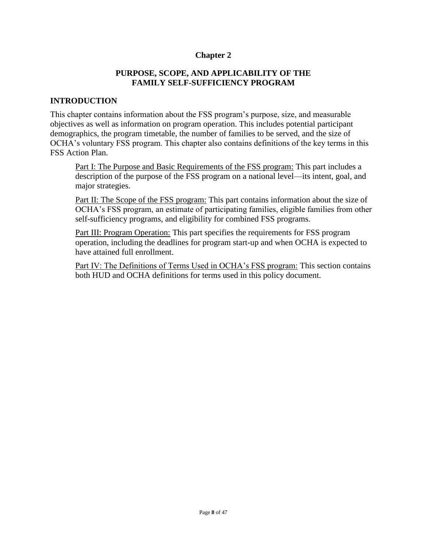#### **Chapter 2**

#### **PURPOSE, SCOPE, AND APPLICABILITY OF THE FAMILY SELF-SUFFICIENCY PROGRAM**

#### **INTRODUCTION**

This chapter contains information about the FSS program's purpose, size, and measurable objectives as well as information on program operation. This includes potential participant demographics, the program timetable, the number of families to be served, and the size of OCHA's voluntary FSS program. This chapter also contains definitions of the key terms in this FSS Action Plan.

Part I: The Purpose and Basic Requirements of the FSS program: This part includes a description of the purpose of the FSS program on a national level—its intent, goal, and major strategies.

Part II: The Scope of the FSS program: This part contains information about the size of OCHA's FSS program, an estimate of participating families, eligible families from other self-sufficiency programs, and eligibility for combined FSS programs.

Part III: Program Operation: This part specifies the requirements for FSS program operation, including the deadlines for program start-up and when OCHA is expected to have attained full enrollment.

Part IV: The Definitions of Terms Used in OCHA's FSS program: This section contains both HUD and OCHA definitions for terms used in this policy document.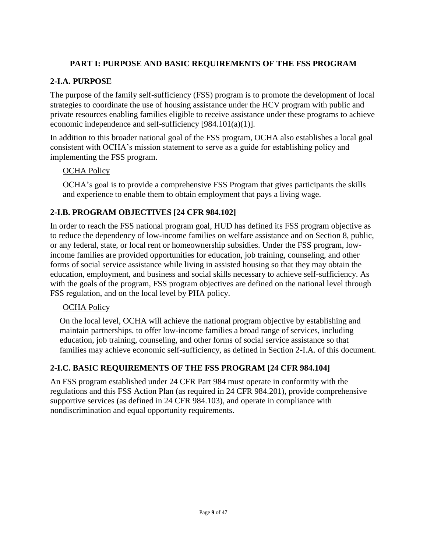## **PART I: PURPOSE AND BASIC REQUIREMENTS OF THE FSS PROGRAM**

## **2-I.A. PURPOSE**

The purpose of the family self-sufficiency (FSS) program is to promote the development of local strategies to coordinate the use of housing assistance under the HCV program with public and private resources enabling families eligible to receive assistance under these programs to achieve economic independence and self-sufficiency [984.101(a)(1)].

In addition to this broader national goal of the FSS program, OCHA also establishes a local goal consistent with OCHA's mission statement to serve as a guide for establishing policy and implementing the FSS program.

#### **OCHA Policy**

OCHA's goal is to provide a comprehensive FSS Program that gives participants the skills and experience to enable them to obtain employment that pays a living wage.

## **2-I.B. PROGRAM OBJECTIVES [24 CFR 984.102]**

In order to reach the FSS national program goal, HUD has defined its FSS program objective as to reduce the dependency of low-income families on welfare assistance and on Section 8, public, or any federal, state, or local rent or homeownership subsidies. Under the FSS program, lowincome families are provided opportunities for education, job training, counseling, and other forms of social service assistance while living in assisted housing so that they may obtain the education, employment, and business and social skills necessary to achieve self-sufficiency. As with the goals of the program, FSS program objectives are defined on the national level through FSS regulation, and on the local level by PHA policy.

#### **OCHA Policy**

On the local level, OCHA will achieve the national program objective by establishing and maintain partnerships. to offer low-income families a broad range of services, including education, job training, counseling, and other forms of social service assistance so that families may achieve economic self-sufficiency, as defined in Section 2-I.A. of this document.

## **2-I.C. BASIC REQUIREMENTS OF THE FSS PROGRAM [24 CFR 984.104]**

An FSS program established under 24 CFR Part 984 must operate in conformity with the regulations and this FSS Action Plan (as required in 24 CFR 984.201), provide comprehensive supportive services (as defined in 24 CFR 984.103), and operate in compliance with nondiscrimination and equal opportunity requirements.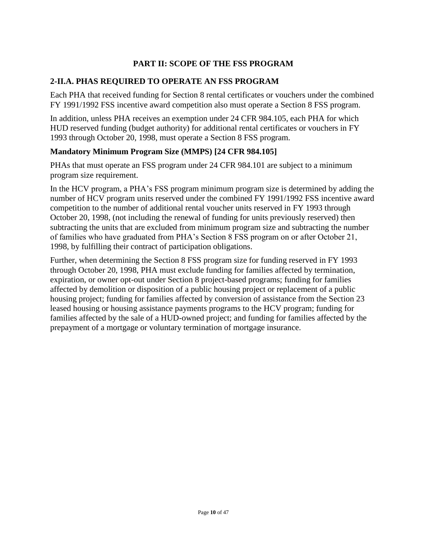## **PART II: SCOPE OF THE FSS PROGRAM**

## **2-II.A. PHAS REQUIRED TO OPERATE AN FSS PROGRAM**

Each PHA that received funding for Section 8 rental certificates or vouchers under the combined FY 1991/1992 FSS incentive award competition also must operate a Section 8 FSS program.

In addition, unless PHA receives an exemption under 24 CFR 984.105, each PHA for which HUD reserved funding (budget authority) for additional rental certificates or vouchers in FY 1993 through October 20, 1998, must operate a Section 8 FSS program.

#### **Mandatory Minimum Program Size (MMPS) [24 CFR 984.105]**

PHAs that must operate an FSS program under 24 CFR 984.101 are subject to a minimum program size requirement.

In the HCV program, a PHA's FSS program minimum program size is determined by adding the number of HCV program units reserved under the combined FY 1991/1992 FSS incentive award competition to the number of additional rental voucher units reserved in FY 1993 through October 20, 1998, (not including the renewal of funding for units previously reserved) then subtracting the units that are excluded from minimum program size and subtracting the number of families who have graduated from PHA's Section 8 FSS program on or after October 21, 1998, by fulfilling their contract of participation obligations.

Further, when determining the Section 8 FSS program size for funding reserved in FY 1993 through October 20, 1998, PHA must exclude funding for families affected by termination, expiration, or owner opt-out under Section 8 project-based programs; funding for families affected by demolition or disposition of a public housing project or replacement of a public housing project; funding for families affected by conversion of assistance from the Section 23 leased housing or housing assistance payments programs to the HCV program; funding for families affected by the sale of a HUD-owned project; and funding for families affected by the prepayment of a mortgage or voluntary termination of mortgage insurance.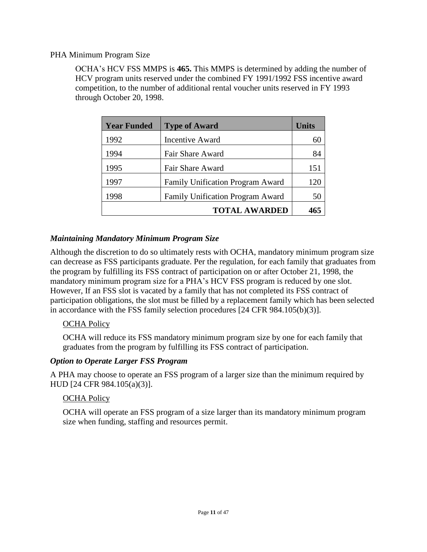#### PHA Minimum Program Size

OCHA's HCV FSS MMPS is **465.** This MMPS is determined by adding the number of HCV program units reserved under the combined FY 1991/1992 FSS incentive award competition, to the number of additional rental voucher units reserved in FY 1993 through October 20, 1998.

| <b>Year Funded</b> | <b>Type of Award</b>             | Units |
|--------------------|----------------------------------|-------|
| 1992               | <b>Incentive Award</b>           | 60    |
| 1994               | Fair Share Award                 | 84    |
| 1995               | Fair Share Award                 | 151   |
| 1997               | Family Unification Program Award | 120   |
| 1998               | Family Unification Program Award | 50    |
|                    | <b>TOTAL AWARDED</b>             |       |

## *Maintaining Mandatory Minimum Program Size*

Although the discretion to do so ultimately rests with OCHA, mandatory minimum program size can decrease as FSS participants graduate. Per the regulation, for each family that graduates from the program by fulfilling its FSS contract of participation on or after October 21, 1998, the mandatory minimum program size for a PHA's HCV FSS program is reduced by one slot. However, If an FSS slot is vacated by a family that has not completed its FSS contract of participation obligations, the slot must be filled by a replacement family which has been selected in accordance with the FSS family selection procedures [24 CFR 984.105(b)(3)].

#### **OCHA Policy**

OCHA will reduce its FSS mandatory minimum program size by one for each family that graduates from the program by fulfilling its FSS contract of participation.

#### *Option to Operate Larger FSS Program*

A PHA may choose to operate an FSS program of a larger size than the minimum required by HUD [24 CFR 984.105(a)(3)].

#### **OCHA Policy**

OCHA will operate an FSS program of a size larger than its mandatory minimum program size when funding, staffing and resources permit.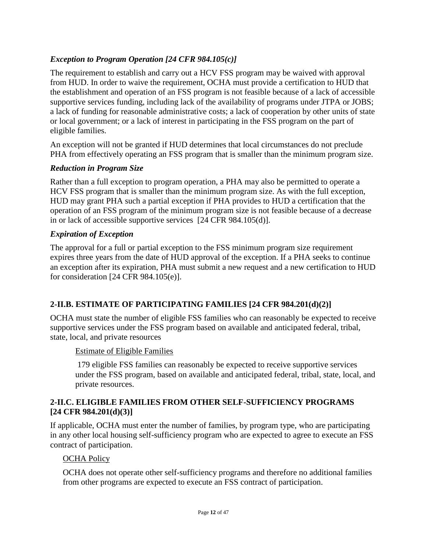## *Exception to Program Operation [24 CFR 984.105(c)]*

The requirement to establish and carry out a HCV FSS program may be waived with approval from HUD. In order to waive the requirement, OCHA must provide a certification to HUD that the establishment and operation of an FSS program is not feasible because of a lack of accessible supportive services funding, including lack of the availability of programs under JTPA or JOBS; a lack of funding for reasonable administrative costs; a lack of cooperation by other units of state or local government; or a lack of interest in participating in the FSS program on the part of eligible families.

An exception will not be granted if HUD determines that local circumstances do not preclude PHA from effectively operating an FSS program that is smaller than the minimum program size.

## *Reduction in Program Size*

Rather than a full exception to program operation, a PHA may also be permitted to operate a HCV FSS program that is smaller than the minimum program size. As with the full exception, HUD may grant PHA such a partial exception if PHA provides to HUD a certification that the operation of an FSS program of the minimum program size is not feasible because of a decrease in or lack of accessible supportive services [24 CFR 984.105(d)].

## *Expiration of Exception*

The approval for a full or partial exception to the FSS minimum program size requirement expires three years from the date of HUD approval of the exception. If a PHA seeks to continue an exception after its expiration, PHA must submit a new request and a new certification to HUD for consideration [24 CFR 984.105(e)].

## **2-II.B. ESTIMATE OF PARTICIPATING FAMILIES [24 CFR 984.201(d)(2)]**

OCHA must state the number of eligible FSS families who can reasonably be expected to receive supportive services under the FSS program based on available and anticipated federal, tribal, state, local, and private resources

#### Estimate of Eligible Families

179 eligible FSS families can reasonably be expected to receive supportive services under the FSS program, based on available and anticipated federal, tribal, state, local, and private resources.

## **2-II.C. ELIGIBLE FAMILIES FROM OTHER SELF-SUFFICIENCY PROGRAMS [24 CFR 984.201(d)(3)]**

If applicable, OCHA must enter the number of families, by program type, who are participating in any other local housing self-sufficiency program who are expected to agree to execute an FSS contract of participation.

#### **OCHA Policy**

OCHA does not operate other self-sufficiency programs and therefore no additional families from other programs are expected to execute an FSS contract of participation.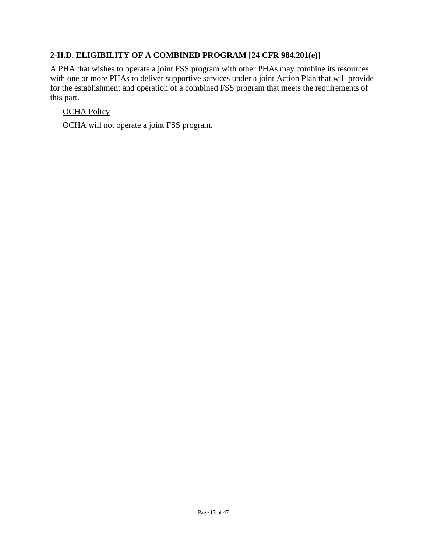## **2-II.D. ELIGIBILITY OF A COMBINED PROGRAM [24 CFR 984.201(e)]**

A PHA that wishes to operate a joint FSS program with other PHAs may combine its resources with one or more PHAs to deliver supportive services under a joint Action Plan that will provide for the establishment and operation of a combined FSS program that meets the requirements of this part.

## OCHA Policy

OCHA will not operate a joint FSS program.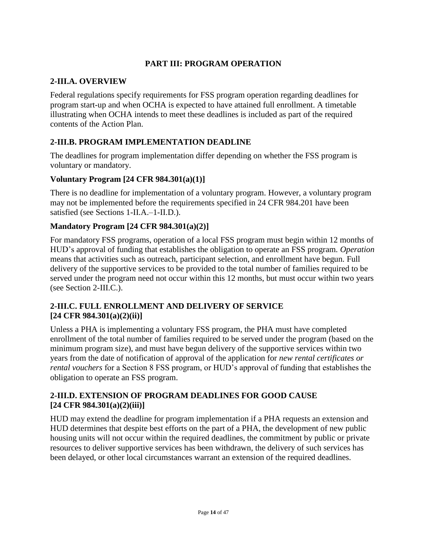## **PART III: PROGRAM OPERATION**

## **2-III.A. OVERVIEW**

Federal regulations specify requirements for FSS program operation regarding deadlines for program start-up and when OCHA is expected to have attained full enrollment. A timetable illustrating when OCHA intends to meet these deadlines is included as part of the required contents of the Action Plan.

## **2-III.B. PROGRAM IMPLEMENTATION DEADLINE**

The deadlines for program implementation differ depending on whether the FSS program is voluntary or mandatory.

#### **Voluntary Program [24 CFR 984.301(a)(1)]**

There is no deadline for implementation of a voluntary program. However, a voluntary program may not be implemented before the requirements specified in 24 CFR 984.201 have been satisfied (see Sections 1-II.A.–1-II.D.).

## **Mandatory Program [24 CFR 984.301(a)(2)]**

For mandatory FSS programs, operation of a local FSS program must begin within 12 months of HUD's approval of funding that establishes the obligation to operate an FSS program. *Operation* means that activities such as outreach, participant selection, and enrollment have begun. Full delivery of the supportive services to be provided to the total number of families required to be served under the program need not occur within this 12 months, but must occur within two years (see Section 2-III.C.).

#### **2-III.C. FULL ENROLLMENT AND DELIVERY OF SERVICE [24 CFR 984.301(a)(2)(ii)]**

Unless a PHA is implementing a voluntary FSS program, the PHA must have completed enrollment of the total number of families required to be served under the program (based on the minimum program size), and must have begun delivery of the supportive services within two years from the date of notification of approval of the application for *new rental certificates or rental vouchers* for a Section 8 FSS program, or HUD's approval of funding that establishes the obligation to operate an FSS program.

#### **2-III.D. EXTENSION OF PROGRAM DEADLINES FOR GOOD CAUSE [24 CFR 984.301(a)(2)(iii)]**

HUD may extend the deadline for program implementation if a PHA requests an extension and HUD determines that despite best efforts on the part of a PHA, the development of new public housing units will not occur within the required deadlines, the commitment by public or private resources to deliver supportive services has been withdrawn, the delivery of such services has been delayed, or other local circumstances warrant an extension of the required deadlines.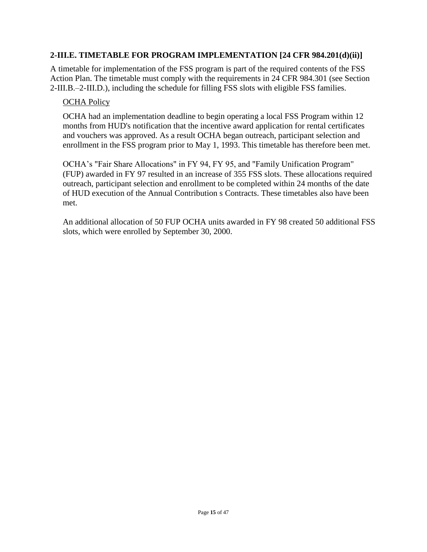#### **2-III.E. TIMETABLE FOR PROGRAM IMPLEMENTATION [24 CFR 984.201(d)(ii)]**

A timetable for implementation of the FSS program is part of the required contents of the FSS Action Plan. The timetable must comply with the requirements in 24 CFR 984.301 (see Section 2-III.B.–2-III.D.), including the schedule for filling FSS slots with eligible FSS families.

#### OCHA Policy

OCHA had an implementation deadline to begin operating a local FSS Program within 12 months from HUD's notification that the incentive award application for rental certificates and vouchers was approved. As a result OCHA began outreach, participant selection and enrollment in the FSS program prior to May 1, 1993. This timetable has therefore been met.

OCHA's "Fair Share Allocations" in FY 94, FY 95, and "Family Unification Program" (FUP) awarded in FY 97 resulted in an increase of 355 FSS slots. These allocations required outreach, participant selection and enrollment to be completed within 24 months of the date of HUD execution of the Annual Contribution s Contracts. These timetables also have been met.

An additional allocation of 50 FUP OCHA units awarded in FY 98 created 50 additional FSS slots, which were enrolled by September 30, 2000.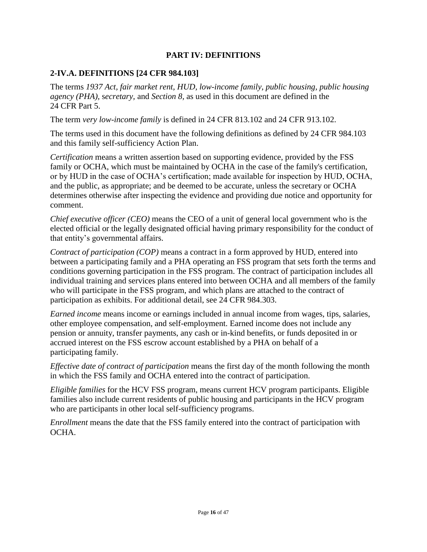#### **PART IV: DEFINITIONS**

## **2-IV.A. DEFINITIONS [24 CFR 984.103]**

The terms *1937 Act, fair market rent, HUD, low-income family, public housing, public housing agency (PHA),* s*ecretary,* and *Section 8,* as used in this document are defined in the 24 CFR Part 5.

The term *very low-income family* is defined in 24 CFR 813.102 and 24 CFR 913.102.

The terms used in this document have the following definitions as defined by 24 CFR 984.103 and this family self-sufficiency Action Plan.

*Certification* means a written assertion based on supporting evidence, provided by the FSS family or OCHA, which must be maintained by OCHA in the case of the family's certification, or by HUD in the case of OCHA's certification; made available for inspection by HUD, OCHA, and the public, as appropriate; and be deemed to be accurate, unless the secretary or OCHA determines otherwise after inspecting the evidence and providing due notice and opportunity for comment.

*Chief executive officer (CEO)* means the CEO of a unit of general local government who is the elected official or the legally designated official having primary responsibility for the conduct of that entity's governmental affairs.

*Contract of participation (COP)* means a contract in a form approved by HUD, entered into between a participating family and a PHA operating an FSS program that sets forth the terms and conditions governing participation in the FSS program. The contract of participation includes all individual training and services plans entered into between OCHA and all members of the family who will participate in the FSS program, and which plans are attached to the contract of participation as exhibits. For additional detail, see 24 CFR 984.303.

*Earned income* means income or earnings included in annual income from wages, tips, salaries, other employee compensation, and self-employment. Earned income does not include any pension or annuity, transfer payments, any cash or in-kind benefits, or funds deposited in or accrued interest on the FSS escrow account established by a PHA on behalf of a participating family.

*Effective date of contract of participation* means the first day of the month following the month in which the FSS family and OCHA entered into the contract of participation.

*Eligible families* for the HCV FSS program, means current HCV program participants. Eligible families also include current residents of public housing and participants in the HCV program who are participants in other local self-sufficiency programs.

*Enrollment* means the date that the FSS family entered into the contract of participation with OCHA.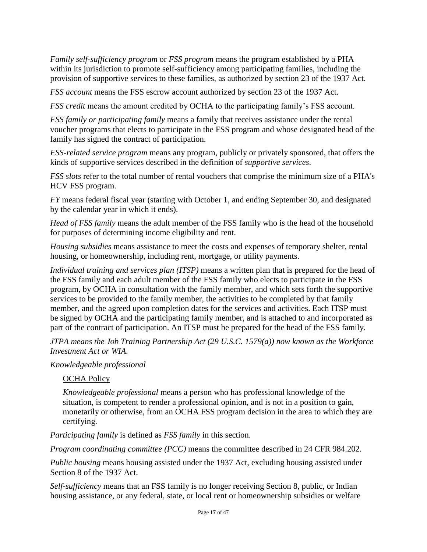*Family self-sufficiency program* or *FSS program* means the program established by a PHA within its jurisdiction to promote self-sufficiency among participating families, including the provision of supportive services to these families, as authorized by section 23 of the 1937 Act.

*FSS account* means the FSS escrow account authorized by section 23 of the 1937 Act.

*FSS credit* means the amount credited by OCHA to the participating family's FSS account.

*FSS family or participating family* means a family that receives assistance under the rental voucher programs that elects to participate in the FSS program and whose designated head of the family has signed the contract of participation.

*FSS-related service program* means any program, publicly or privately sponsored, that offers the kinds of supportive services described in the definition of *supportive services*.

*FSS slots* refer to the total number of rental vouchers that comprise the minimum size of a PHA's HCV FSS program.

*FY* means federal fiscal year (starting with October 1, and ending September 30, and designated by the calendar year in which it ends).

*Head of FSS family* means the adult member of the FSS family who is the head of the household for purposes of determining income eligibility and rent.

*Housing subsidies* means assistance to meet the costs and expenses of temporary shelter, rental housing, or homeownership, including rent, mortgage, or utility payments.

*Individual training and services plan (ITSP)* means a written plan that is prepared for the head of the FSS family and each adult member of the FSS family who elects to participate in the FSS program, by OCHA in consultation with the family member, and which sets forth the supportive services to be provided to the family member, the activities to be completed by that family member, and the agreed upon completion dates for the services and activities. Each ITSP must be signed by OCHA and the participating family member, and is attached to and incorporated as part of the contract of participation. An ITSP must be prepared for the head of the FSS family.

*JTPA means the Job Training Partnership Act (29 U.S.C. 1579(a)) now known as the Workforce Investment Act or WIA.*

#### *Knowledgeable professional*

#### **OCHA Policy**

*Knowledgeable professional* means a person who has professional knowledge of the situation, is competent to render a professional opinion, and is not in a position to gain, monetarily or otherwise, from an OCHA FSS program decision in the area to which they are certifying.

*Participating family* is defined as *FSS family* in this section.

*Program coordinating committee (PCC)* means the committee described in 24 CFR 984.202.

*Public housing* means housing assisted under the 1937 Act, excluding housing assisted under Section 8 of the 1937 Act.

*Self-sufficiency* means that an FSS family is no longer receiving Section 8, public, or Indian housing assistance, or any federal, state, or local rent or homeownership subsidies or welfare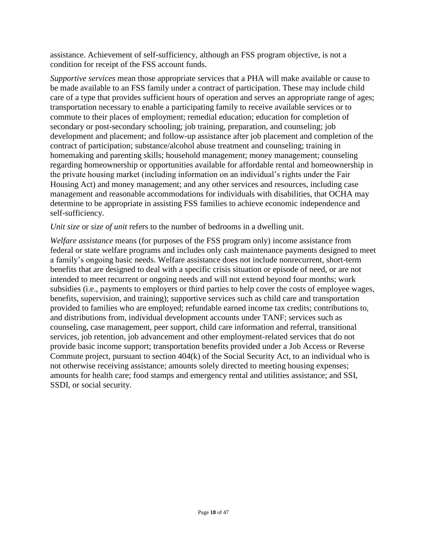assistance. Achievement of self-sufficiency, although an FSS program objective, is not a condition for receipt of the FSS account funds.

*Supportive services* mean those appropriate services that a PHA will make available or cause to be made available to an FSS family under a contract of participation. These may include child care of a type that provides sufficient hours of operation and serves an appropriate range of ages; transportation necessary to enable a participating family to receive available services or to commute to their places of employment; remedial education; education for completion of secondary or post-secondary schooling; job training, preparation, and counseling; job development and placement; and follow-up assistance after job placement and completion of the contract of participation; substance/alcohol abuse treatment and counseling; training in homemaking and parenting skills; household management; money management; counseling regarding homeownership or opportunities available for affordable rental and homeownership in the private housing market (including information on an individual's rights under the Fair Housing Act) and money management; and any other services and resources, including case management and reasonable accommodations for individuals with disabilities, that OCHA may determine to be appropriate in assisting FSS families to achieve economic independence and self-sufficiency.

#### *Unit size or size of unit refers to the number of bedrooms in a dwelling unit.*

*Welfare assistance* means (for purposes of the FSS program only) income assistance from federal or state welfare programs and includes only cash maintenance payments designed to meet a family's ongoing basic needs. Welfare assistance does not include nonrecurrent, short-term benefits that are designed to deal with a specific crisis situation or episode of need, or are not intended to meet recurrent or ongoing needs and will not extend beyond four months; work subsidies (i.e., payments to employers or third parties to help cover the costs of employee wages, benefits, supervision, and training); supportive services such as child care and transportation provided to families who are employed; refundable earned income tax credits; contributions to, and distributions from, individual development accounts under TANF; services such as counseling, case management, peer support, child care information and referral, transitional services, job retention, job advancement and other employment-related services that do not provide basic income support; transportation benefits provided under a Job Access or Reverse Commute project, pursuant to section 404(k) of the Social Security Act, to an individual who is not otherwise receiving assistance; amounts solely directed to meeting housing expenses; amounts for health care; food stamps and emergency rental and utilities assistance; and SSI, SSDI, or social security.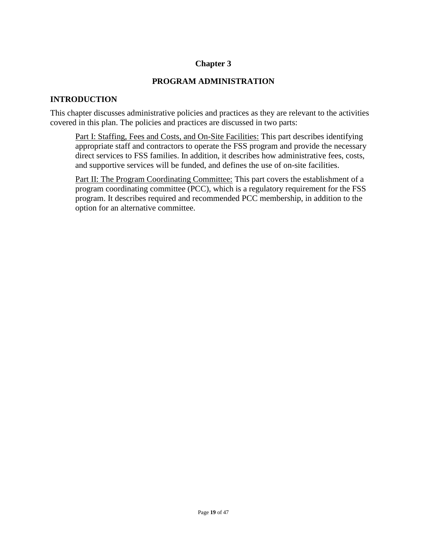## **Chapter 3**

#### **PROGRAM ADMINISTRATION**

#### **INTRODUCTION**

This chapter discusses administrative policies and practices as they are relevant to the activities covered in this plan. The policies and practices are discussed in two parts:

Part I: Staffing, Fees and Costs, and On-Site Facilities: This part describes identifying appropriate staff and contractors to operate the FSS program and provide the necessary direct services to FSS families. In addition, it describes how administrative fees, costs, and supportive services will be funded, and defines the use of on-site facilities.

Part II: The Program Coordinating Committee: This part covers the establishment of a program coordinating committee (PCC), which is a regulatory requirement for the FSS program. It describes required and recommended PCC membership, in addition to the option for an alternative committee.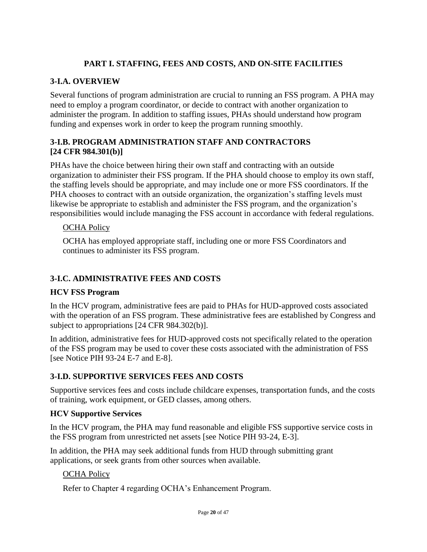## **PART I. STAFFING, FEES AND COSTS, AND ON-SITE FACILITIES**

## **3-I.A. OVERVIEW**

Several functions of program administration are crucial to running an FSS program. A PHA may need to employ a program coordinator, or decide to contract with another organization to administer the program. In addition to staffing issues, PHAs should understand how program funding and expenses work in order to keep the program running smoothly.

## **3-I.B. PROGRAM ADMINISTRATION STAFF AND CONTRACTORS [24 CFR 984.301(b)]**

PHAs have the choice between hiring their own staff and contracting with an outside organization to administer their FSS program. If the PHA should choose to employ its own staff, the staffing levels should be appropriate, and may include one or more FSS coordinators. If the PHA chooses to contract with an outside organization, the organization's staffing levels must likewise be appropriate to establish and administer the FSS program, and the organization's responsibilities would include managing the FSS account in accordance with federal regulations.

## OCHA Policy

OCHA has employed appropriate staff, including one or more FSS Coordinators and continues to administer its FSS program.

## **3-I.C. ADMINISTRATIVE FEES AND COSTS**

#### **HCV FSS Program**

In the HCV program, administrative fees are paid to PHAs for HUD-approved costs associated with the operation of an FSS program. These administrative fees are established by Congress and subject to appropriations [24 CFR 984.302(b)].

In addition, administrative fees for HUD-approved costs not specifically related to the operation of the FSS program may be used to cover these costs associated with the administration of FSS [see Notice PIH 93-24 E-7 and E-8].

## **3-I.D. SUPPORTIVE SERVICES FEES AND COSTS**

Supportive services fees and costs include childcare expenses, transportation funds, and the costs of training, work equipment, or GED classes, among others.

#### **HCV Supportive Services**

In the HCV program, the PHA may fund reasonable and eligible FSS supportive service costs in the FSS program from unrestricted net assets [see Notice PIH 93-24, E-3].

In addition, the PHA may seek additional funds from HUD through submitting grant applications, or seek grants from other sources when available.

## OCHA Policy

Refer to Chapter 4 regarding OCHA's Enhancement Program.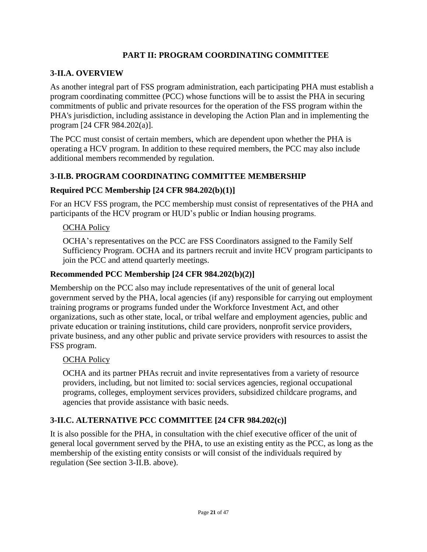## **PART II: PROGRAM COORDINATING COMMITTEE**

## **3-II.A. OVERVIEW**

As another integral part of FSS program administration, each participating PHA must establish a program coordinating committee (PCC) whose functions will be to assist the PHA in securing commitments of public and private resources for the operation of the FSS program within the PHA's jurisdiction, including assistance in developing the Action Plan and in implementing the program [24 CFR 984.202(a)].

The PCC must consist of certain members, which are dependent upon whether the PHA is operating a HCV program. In addition to these required members, the PCC may also include additional members recommended by regulation.

## **3-II.B. PROGRAM COORDINATING COMMITTEE MEMBERSHIP**

#### **Required PCC Membership [24 CFR 984.202(b)(1)]**

For an HCV FSS program, the PCC membership must consist of representatives of the PHA and participants of the HCV program or HUD's public or Indian housing programs.

## OCHA Policy

OCHA's representatives on the PCC are FSS Coordinators assigned to the Family Self Sufficiency Program. OCHA and its partners recruit and invite HCV program participants to join the PCC and attend quarterly meetings.

#### **Recommended PCC Membership [24 CFR 984.202(b)(2)]**

Membership on the PCC also may include representatives of the unit of general local government served by the PHA, local agencies (if any) responsible for carrying out employment training programs or programs funded under the Workforce Investment Act, and other organizations, such as other state, local, or tribal welfare and employment agencies, public and private education or training institutions, child care providers, nonprofit service providers, private business, and any other public and private service providers with resources to assist the FSS program.

#### OCHA Policy

OCHA and its partner PHAs recruit and invite representatives from a variety of resource providers, including, but not limited to: social services agencies, regional occupational programs, colleges, employment services providers, subsidized childcare programs, and agencies that provide assistance with basic needs.

## **3-II.C. ALTERNATIVE PCC COMMITTEE [24 CFR 984.202(c)]**

It is also possible for the PHA, in consultation with the chief executive officer of the unit of general local government served by the PHA, to use an existing entity as the PCC, as long as the membership of the existing entity consists or will consist of the individuals required by regulation (See section 3-II.B. above).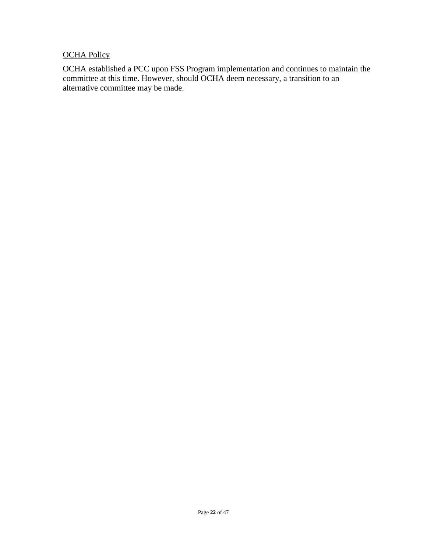## **OCHA Policy**

OCHA established a PCC upon FSS Program implementation and continues to maintain the committee at this time. However, should OCHA deem necessary, a transition to an alternative committee may be made.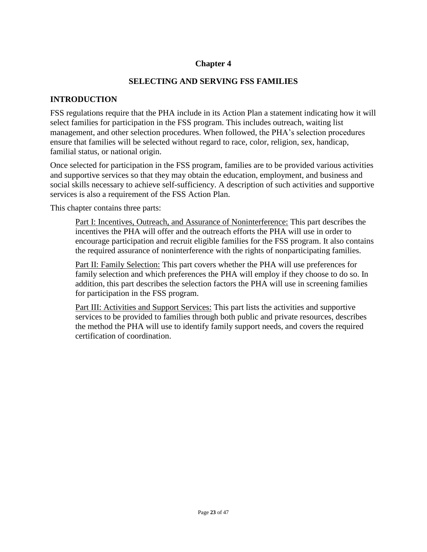#### **Chapter 4**

#### **SELECTING AND SERVING FSS FAMILIES**

#### **INTRODUCTION**

FSS regulations require that the PHA include in its Action Plan a statement indicating how it will select families for participation in the FSS program. This includes outreach, waiting list management, and other selection procedures. When followed, the PHA's selection procedures ensure that families will be selected without regard to race, color, religion, sex, handicap, familial status, or national origin.

Once selected for participation in the FSS program, families are to be provided various activities and supportive services so that they may obtain the education, employment, and business and social skills necessary to achieve self-sufficiency. A description of such activities and supportive services is also a requirement of the FSS Action Plan.

This chapter contains three parts:

Part I: Incentives, Outreach, and Assurance of Noninterference: This part describes the incentives the PHA will offer and the outreach efforts the PHA will use in order to encourage participation and recruit eligible families for the FSS program. It also contains the required assurance of noninterference with the rights of nonparticipating families.

Part II: Family Selection: This part covers whether the PHA will use preferences for family selection and which preferences the PHA will employ if they choose to do so. In addition, this part describes the selection factors the PHA will use in screening families for participation in the FSS program.

Part III: Activities and Support Services: This part lists the activities and supportive services to be provided to families through both public and private resources, describes the method the PHA will use to identify family support needs, and covers the required certification of coordination.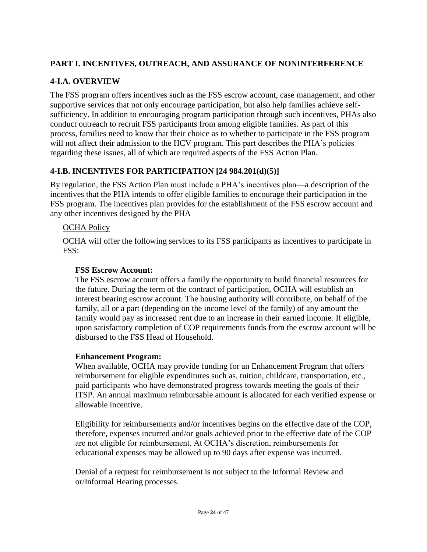## **PART I. INCENTIVES, OUTREACH, AND ASSURANCE OF NONINTERFERENCE**

## **4-I.A. OVERVIEW**

The FSS program offers incentives such as the FSS escrow account, case management, and other supportive services that not only encourage participation, but also help families achieve selfsufficiency. In addition to encouraging program participation through such incentives, PHAs also conduct outreach to recruit FSS participants from among eligible families. As part of this process, families need to know that their choice as to whether to participate in the FSS program will not affect their admission to the HCV program. This part describes the PHA's policies regarding these issues, all of which are required aspects of the FSS Action Plan.

## **4-I.B. INCENTIVES FOR PARTICIPATION [24 984.201(d)(5)]**

By regulation, the FSS Action Plan must include a PHA's incentives plan—a description of the incentives that the PHA intends to offer eligible families to encourage their participation in the FSS program. The incentives plan provides for the establishment of the FSS escrow account and any other incentives designed by the PHA

## OCHA Policy

OCHA will offer the following services to its FSS participants as incentives to participate in FSS:

## **FSS Escrow Account:**

The FSS escrow account offers a family the opportunity to build financial resources for the future. During the term of the contract of participation, OCHA will establish an interest bearing escrow account. The housing authority will contribute, on behalf of the family, all or a part (depending on the income level of the family) of any amount the family would pay as increased rent due to an increase in their earned income. If eligible, upon satisfactory completion of COP requirements funds from the escrow account will be disbursed to the FSS Head of Household.

#### **Enhancement Program:**

When available, OCHA may provide funding for an Enhancement Program that offers reimbursement for eligible expenditures such as, tuition, childcare, transportation, etc., paid participants who have demonstrated progress towards meeting the goals of their ITSP. An annual maximum reimbursable amount is allocated for each verified expense or allowable incentive.

Eligibility for reimbursements and/or incentives begins on the effective date of the COP, therefore, expenses incurred and/or goals achieved prior to the effective date of the COP are not eligible for reimbursement. At OCHA's discretion, reimbursements for educational expenses may be allowed up to 90 days after expense was incurred.

Denial of a request for reimbursement is not subject to the Informal Review and or/Informal Hearing processes.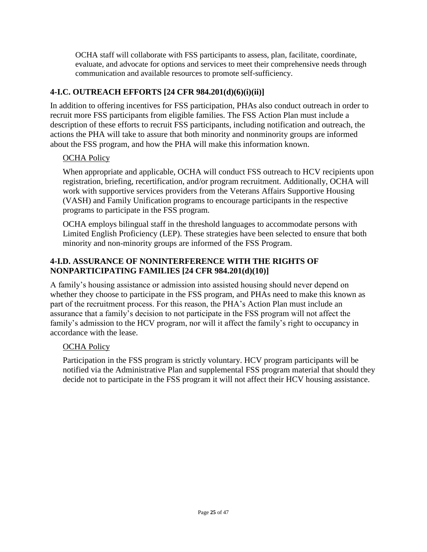OCHA staff will collaborate with FSS participants to assess, plan, facilitate, coordinate, evaluate, and advocate for options and services to meet their comprehensive needs through communication and available resources to promote self-sufficiency.

## **4-I.C. OUTREACH EFFORTS [24 CFR 984.201(d)(6)(i)(ii)]**

In addition to offering incentives for FSS participation, PHAs also conduct outreach in order to recruit more FSS participants from eligible families. The FSS Action Plan must include a description of these efforts to recruit FSS participants, including notification and outreach, the actions the PHA will take to assure that both minority and nonminority groups are informed about the FSS program, and how the PHA will make this information known.

## OCHA Policy

When appropriate and applicable, OCHA will conduct FSS outreach to HCV recipients upon registration, briefing, recertification, and/or program recruitment. Additionally, OCHA will work with supportive services providers from the Veterans Affairs Supportive Housing (VASH) and Family Unification programs to encourage participants in the respective programs to participate in the FSS program.

OCHA employs bilingual staff in the threshold languages to accommodate persons with Limited English Proficiency (LEP). These strategies have been selected to ensure that both minority and non-minority groups are informed of the FSS Program.

## **4-I.D. ASSURANCE OF NONINTERFERENCE WITH THE RIGHTS OF NONPARTICIPATING FAMILIES [24 CFR 984.201(d)(10)]**

A family's housing assistance or admission into assisted housing should never depend on whether they choose to participate in the FSS program, and PHAs need to make this known as part of the recruitment process. For this reason, the PHA's Action Plan must include an assurance that a family's decision to not participate in the FSS program will not affect the family's admission to the HCV program, nor will it affect the family's right to occupancy in accordance with the lease.

## OCHA Policy

Participation in the FSS program is strictly voluntary. HCV program participants will be notified via the Administrative Plan and supplemental FSS program material that should they decide not to participate in the FSS program it will not affect their HCV housing assistance.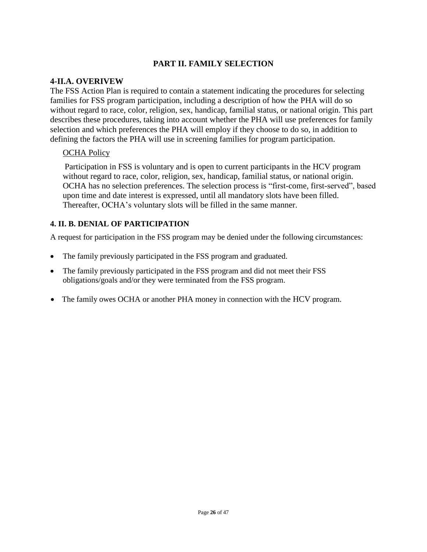## **PART II. FAMILY SELECTION**

#### **4-II.A. OVERIVEW**

The FSS Action Plan is required to contain a statement indicating the procedures for selecting families for FSS program participation, including a description of how the PHA will do so without regard to race, color, religion, sex, handicap, familial status, or national origin. This part describes these procedures, taking into account whether the PHA will use preferences for family selection and which preferences the PHA will employ if they choose to do so, in addition to defining the factors the PHA will use in screening families for program participation.

#### **OCHA Policy**

Participation in FSS is voluntary and is open to current participants in the HCV program without regard to race, color, religion, sex, handicap, familial status, or national origin. OCHA has no selection preferences. The selection process is "first-come, first-served", based upon time and date interest is expressed, until all mandatory slots have been filled. Thereafter, OCHA's voluntary slots will be filled in the same manner.

#### **4. II. B. DENIAL OF PARTICIPATION**

A request for participation in the FSS program may be denied under the following circumstances:

- The family previously participated in the FSS program and graduated.
- The family previously participated in the FSS program and did not meet their FSS obligations/goals and/or they were terminated from the FSS program.
- The family owes OCHA or another PHA money in connection with the HCV program.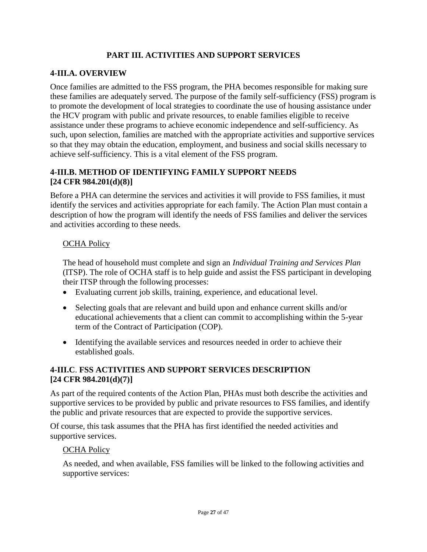## **PART III. ACTIVITIES AND SUPPORT SERVICES**

#### **4-III.A. OVERVIEW**

Once families are admitted to the FSS program, the PHA becomes responsible for making sure these families are adequately served. The purpose of the family self-sufficiency (FSS) program is to promote the development of local strategies to coordinate the use of housing assistance under the HCV program with public and private resources, to enable families eligible to receive assistance under these programs to achieve economic independence and self-sufficiency. As such, upon selection, families are matched with the appropriate activities and supportive services so that they may obtain the education, employment, and business and social skills necessary to achieve self-sufficiency. This is a vital element of the FSS program.

#### **4-III.B. METHOD OF IDENTIFYING FAMILY SUPPORT NEEDS [24 CFR 984.201(d)(8)]**

Before a PHA can determine the services and activities it will provide to FSS families, it must identify the services and activities appropriate for each family. The Action Plan must contain a description of how the program will identify the needs of FSS families and deliver the services and activities according to these needs.

#### OCHA Policy

The head of household must complete and sign an *Individual Training and Services Plan*  (ITSP). The role of OCHA staff is to help guide and assist the FSS participant in developing their ITSP through the following processes:

- Evaluating current job skills, training, experience, and educational level.
- Selecting goals that are relevant and build upon and enhance current skills and/or educational achievements that a client can commit to accomplishing within the 5-year term of the Contract of Participation (COP).
- Identifying the available services and resources needed in order to achieve their established goals.

## **4-III.C**. **FSS ACTIVITIES AND SUPPORT SERVICES DESCRIPTION [24 CFR 984.201(d)(7)]**

As part of the required contents of the Action Plan, PHAs must both describe the activities and supportive services to be provided by public and private resources to FSS families, and identify the public and private resources that are expected to provide the supportive services.

Of course, this task assumes that the PHA has first identified the needed activities and supportive services.

#### OCHA Policy

As needed, and when available, FSS families will be linked to the following activities and supportive services: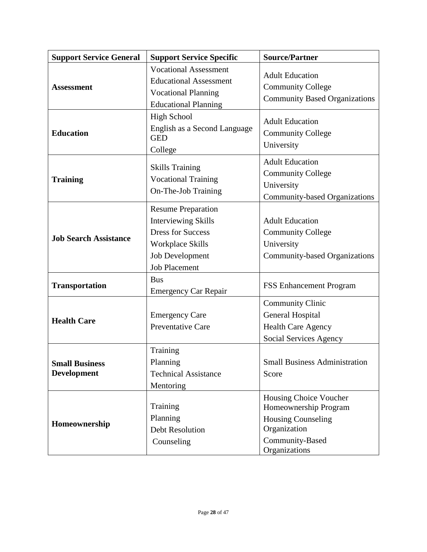| <b>Support Service General</b>              | <b>Support Service Specific</b>                                                                                                                                  | <b>Source/Partner</b>                                                                                                            |
|---------------------------------------------|------------------------------------------------------------------------------------------------------------------------------------------------------------------|----------------------------------------------------------------------------------------------------------------------------------|
| <b>Assessment</b>                           | <b>Vocational Assessment</b><br><b>Educational Assessment</b><br><b>Vocational Planning</b><br><b>Educational Planning</b>                                       | <b>Adult Education</b><br><b>Community College</b><br><b>Community Based Organizations</b>                                       |
| <b>Education</b>                            | <b>High School</b><br>English as a Second Language<br><b>GED</b><br>College                                                                                      | <b>Adult Education</b><br><b>Community College</b><br>University                                                                 |
| <b>Training</b>                             | <b>Skills Training</b><br><b>Vocational Training</b><br>On-The-Job Training                                                                                      | <b>Adult Education</b><br><b>Community College</b><br>University<br>Community-based Organizations                                |
| <b>Job Search Assistance</b>                | <b>Resume Preparation</b><br><b>Interviewing Skills</b><br><b>Dress for Success</b><br><b>Workplace Skills</b><br><b>Job Development</b><br><b>Job Placement</b> | <b>Adult Education</b><br><b>Community College</b><br>University<br><b>Community-based Organizations</b>                         |
| <b>Transportation</b>                       | <b>Bus</b><br><b>Emergency Car Repair</b>                                                                                                                        | <b>FSS Enhancement Program</b>                                                                                                   |
| <b>Health Care</b>                          | <b>Emergency Care</b><br>Preventative Care                                                                                                                       | <b>Community Clinic</b><br>General Hospital<br><b>Health Care Agency</b><br>Social Services Agency                               |
| <b>Small Business</b><br><b>Development</b> | Training<br>Planning<br><b>Technical Assistance</b><br>Mentoring                                                                                                 | <b>Small Business Administration</b><br>Score                                                                                    |
| Homeownership                               | Training<br>Planning<br><b>Debt Resolution</b><br>Counseling                                                                                                     | Housing Choice Voucher<br>Homeownership Program<br><b>Housing Counseling</b><br>Organization<br>Community-Based<br>Organizations |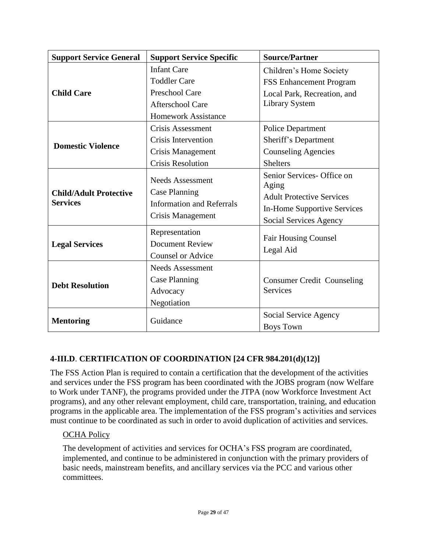| <b>Support Service General</b>                   | <b>Support Service Specific</b>                                                                          | <b>Source/Partner</b>                                                                                                            |  |
|--------------------------------------------------|----------------------------------------------------------------------------------------------------------|----------------------------------------------------------------------------------------------------------------------------------|--|
|                                                  | <b>Infant Care</b>                                                                                       | Children's Home Society                                                                                                          |  |
|                                                  | <b>Toddler Care</b>                                                                                      | <b>FSS Enhancement Program</b>                                                                                                   |  |
| <b>Child Care</b>                                | Preschool Care                                                                                           | Local Park, Recreation, and<br>Library System                                                                                    |  |
|                                                  | Afterschool Care                                                                                         |                                                                                                                                  |  |
|                                                  | <b>Homework Assistance</b>                                                                               |                                                                                                                                  |  |
|                                                  | Crisis Assessment                                                                                        | <b>Police Department</b>                                                                                                         |  |
| <b>Domestic Violence</b>                         | Crisis Intervention                                                                                      | Sheriff's Department                                                                                                             |  |
|                                                  | Crisis Management                                                                                        | <b>Counseling Agencies</b>                                                                                                       |  |
|                                                  | <b>Crisis Resolution</b>                                                                                 | <b>Shelters</b>                                                                                                                  |  |
| <b>Child/Adult Protective</b><br><b>Services</b> | <b>Needs Assessment</b><br><b>Case Planning</b><br><b>Information and Referrals</b><br>Crisis Management | Senior Services- Office on<br>Aging<br><b>Adult Protective Services</b><br>In-Home Supportive Services<br>Social Services Agency |  |
| <b>Legal Services</b>                            | Representation<br><b>Document Review</b><br><b>Counsel or Advice</b>                                     | <b>Fair Housing Counsel</b><br>Legal Aid                                                                                         |  |
| <b>Debt Resolution</b>                           | <b>Needs Assessment</b><br><b>Case Planning</b><br>Advocacy<br>Negotiation                               | <b>Consumer Credit Counseling</b><br><b>Services</b>                                                                             |  |
| <b>Mentoring</b>                                 | Guidance                                                                                                 | Social Service Agency<br><b>Boys Town</b>                                                                                        |  |

## **4-III.D**. **CERTIFICATION OF COORDINATION [24 CFR 984.201(d)(12)]**

The FSS Action Plan is required to contain a certification that the development of the activities and services under the FSS program has been coordinated with the JOBS program (now Welfare to Work under TANF), the programs provided under the JTPA (now Workforce Investment Act programs), and any other relevant employment, child care, transportation, training, and education programs in the applicable area. The implementation of the FSS program's activities and services must continue to be coordinated as such in order to avoid duplication of activities and services.

## OCHA Policy

The development of activities and services for OCHA's FSS program are coordinated, implemented, and continue to be administered in conjunction with the primary providers of basic needs, mainstream benefits, and ancillary services via the PCC and various other committees.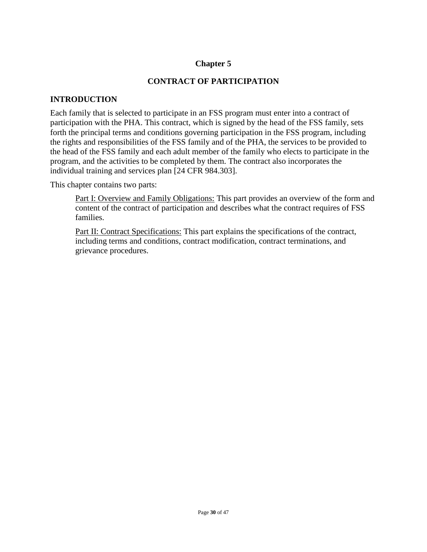## **Chapter 5**

#### **CONTRACT OF PARTICIPATION**

#### **INTRODUCTION**

Each family that is selected to participate in an FSS program must enter into a contract of participation with the PHA. This contract, which is signed by the head of the FSS family, sets forth the principal terms and conditions governing participation in the FSS program, including the rights and responsibilities of the FSS family and of the PHA, the services to be provided to the head of the FSS family and each adult member of the family who elects to participate in the program, and the activities to be completed by them. The contract also incorporates the individual training and services plan [24 CFR 984.303].

This chapter contains two parts:

Part I: Overview and Family Obligations: This part provides an overview of the form and content of the contract of participation and describes what the contract requires of FSS families.

Part II: Contract Specifications: This part explains the specifications of the contract, including terms and conditions, contract modification, contract terminations, and grievance procedures.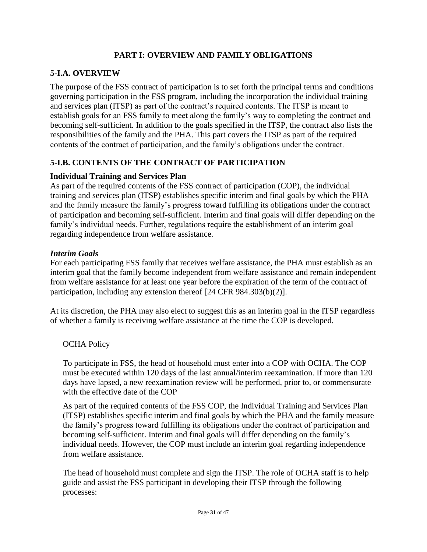## **PART I: OVERVIEW AND FAMILY OBLIGATIONS**

## **5-I.A. OVERVIEW**

The purpose of the FSS contract of participation is to set forth the principal terms and conditions governing participation in the FSS program, including the incorporation the individual training and services plan (ITSP) as part of the contract's required contents. The ITSP is meant to establish goals for an FSS family to meet along the family's way to completing the contract and becoming self-sufficient. In addition to the goals specified in the ITSP, the contract also lists the responsibilities of the family and the PHA. This part covers the ITSP as part of the required contents of the contract of participation, and the family's obligations under the contract.

#### **5-I.B. CONTENTS OF THE CONTRACT OF PARTICIPATION**

#### **Individual Training and Services Plan**

As part of the required contents of the FSS contract of participation (COP), the individual training and services plan (ITSP) establishes specific interim and final goals by which the PHA and the family measure the family's progress toward fulfilling its obligations under the contract of participation and becoming self-sufficient. Interim and final goals will differ depending on the family's individual needs. Further, regulations require the establishment of an interim goal regarding independence from welfare assistance.

#### *Interim Goals*

For each participating FSS family that receives welfare assistance, the PHA must establish as an interim goal that the family become independent from welfare assistance and remain independent from welfare assistance for at least one year before the expiration of the term of the contract of participation, including any extension thereof [24 CFR 984.303(b)(2)].

At its discretion, the PHA may also elect to suggest this as an interim goal in the ITSP regardless of whether a family is receiving welfare assistance at the time the COP is developed.

#### OCHA Policy

To participate in FSS, the head of household must enter into a COP with OCHA. The COP must be executed within 120 days of the last annual/interim reexamination. If more than 120 days have lapsed, a new reexamination review will be performed, prior to, or commensurate with the effective date of the COP

As part of the required contents of the FSS COP, the Individual Training and Services Plan (ITSP) establishes specific interim and final goals by which the PHA and the family measure the family's progress toward fulfilling its obligations under the contract of participation and becoming self-sufficient. Interim and final goals will differ depending on the family's individual needs. However, the COP must include an interim goal regarding independence from welfare assistance.

The head of household must complete and sign the ITSP. The role of OCHA staff is to help guide and assist the FSS participant in developing their ITSP through the following processes: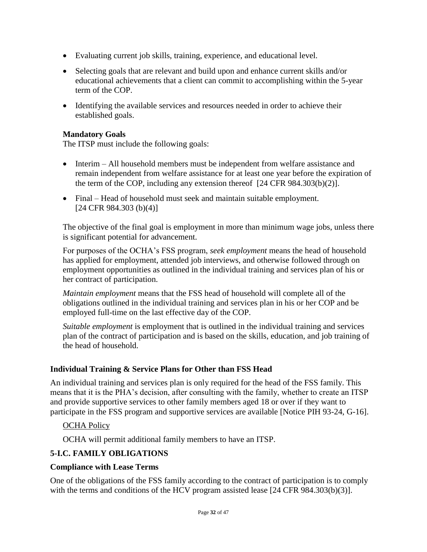- Evaluating current job skills, training, experience, and educational level.
- Selecting goals that are relevant and build upon and enhance current skills and/or educational achievements that a client can commit to accomplishing within the 5-year term of the COP.
- Identifying the available services and resources needed in order to achieve their established goals.

#### **Mandatory Goals**

The ITSP must include the following goals:

- Interim All household members must be independent from welfare assistance and remain independent from welfare assistance for at least one year before the expiration of the term of the COP, including any extension thereof [24 CFR 984.303(b)(2)].
- Final Head of household must seek and maintain suitable employment. [24 CFR 984.303 (b)(4)]

The objective of the final goal is employment in more than minimum wage jobs, unless there is significant potential for advancement.

For purposes of the OCHA's FSS program, *seek employment* means the head of household has applied for employment, attended job interviews, and otherwise followed through on employment opportunities as outlined in the individual training and services plan of his or her contract of participation.

*Maintain employment* means that the FSS head of household will complete all of the obligations outlined in the individual training and services plan in his or her COP and be employed full-time on the last effective day of the COP.

*Suitable employment* is employment that is outlined in the individual training and services plan of the contract of participation and is based on the skills, education, and job training of the head of household.

#### **Individual Training & Service Plans for Other than FSS Head**

An individual training and services plan is only required for the head of the FSS family. This means that it is the PHA's decision, after consulting with the family, whether to create an ITSP and provide supportive services to other family members aged 18 or over if they want to participate in the FSS program and supportive services are available [Notice PIH 93-24, G-16].

## OCHA Policy

OCHA will permit additional family members to have an ITSP.

## **5-I.C. FAMILY OBLIGATIONS**

#### **Compliance with Lease Terms**

One of the obligations of the FSS family according to the contract of participation is to comply with the terms and conditions of the HCV program assisted lease [24 CFR 984.303(b)(3)].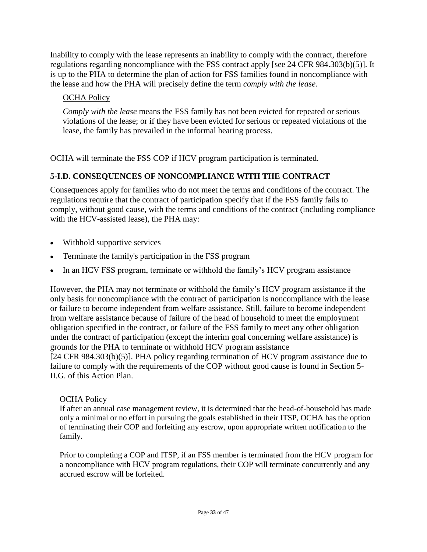Inability to comply with the lease represents an inability to comply with the contract, therefore regulations regarding noncompliance with the FSS contract apply [see 24 CFR 984.303(b)(5)]. It is up to the PHA to determine the plan of action for FSS families found in noncompliance with the lease and how the PHA will precisely define the term *comply with the lease.* 

## OCHA Policy

*Comply with the lease* means the FSS family has not been evicted for repeated or serious violations of the lease; or if they have been evicted for serious or repeated violations of the lease, the family has prevailed in the informal hearing process.

OCHA will terminate the FSS COP if HCV program participation is terminated.

## **5-I.D. CONSEQUENCES OF NONCOMPLIANCE WITH THE CONTRACT**

Consequences apply for families who do not meet the terms and conditions of the contract. The regulations require that the contract of participation specify that if the FSS family fails to comply, without good cause, with the terms and conditions of the contract (including compliance with the HCV-assisted lease), the PHA may:

- Withhold supportive services
- Terminate the family's participation in the FSS program
- In an HCV FSS program, terminate or withhold the family's HCV program assistance

However, the PHA may not terminate or withhold the family's HCV program assistance if the only basis for noncompliance with the contract of participation is noncompliance with the lease or failure to become independent from welfare assistance. Still, failure to become independent from welfare assistance because of failure of the head of household to meet the employment obligation specified in the contract, or failure of the FSS family to meet any other obligation under the contract of participation (except the interim goal concerning welfare assistance) is grounds for the PHA to terminate or withhold HCV program assistance [24 CFR 984.303(b)(5)]. PHA policy regarding termination of HCV program assistance due to failure to comply with the requirements of the COP without good cause is found in Section 5- II.G. of this Action Plan.

#### OCHA Policy

If after an annual case management review, it is determined that the head-of-household has made only a minimal or no effort in pursuing the goals established in their ITSP, OCHA has the option of terminating their COP and forfeiting any escrow, upon appropriate written notification to the family.

Prior to completing a COP and ITSP, if an FSS member is terminated from the HCV program for a noncompliance with HCV program regulations, their COP will terminate concurrently and any accrued escrow will be forfeited.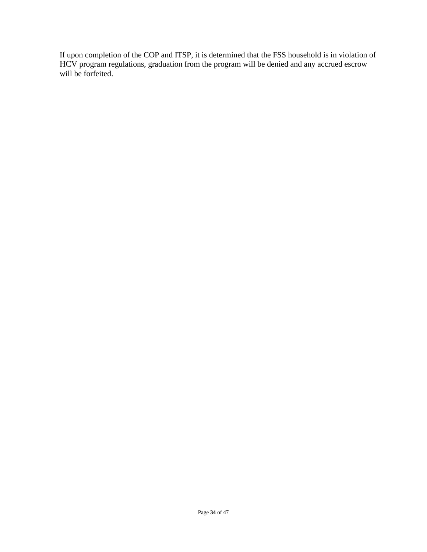If upon completion of the COP and ITSP, it is determined that the FSS household is in violation of HCV program regulations, graduation from the program will be denied and any accrued escrow will be forfeited.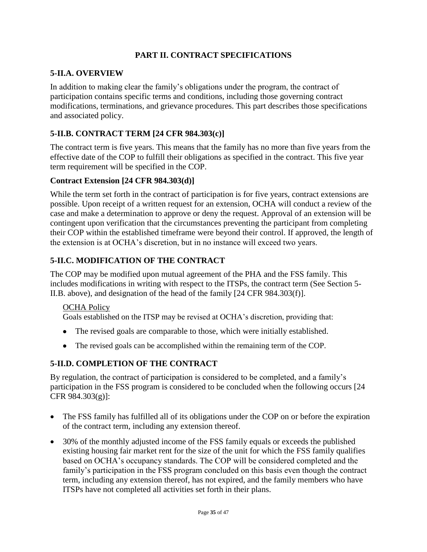## **PART II. CONTRACT SPECIFICATIONS**

## **5-II.A. OVERVIEW**

In addition to making clear the family's obligations under the program, the contract of participation contains specific terms and conditions, including those governing contract modifications, terminations, and grievance procedures. This part describes those specifications and associated policy.

## **5-II.B. CONTRACT TERM [24 CFR 984.303(c)]**

The contract term is five years. This means that the family has no more than five years from the effective date of the COP to fulfill their obligations as specified in the contract. This five year term requirement will be specified in the COP.

#### **Contract Extension [24 CFR 984.303(d)]**

While the term set forth in the contract of participation is for five years, contract extensions are possible. Upon receipt of a written request for an extension, OCHA will conduct a review of the case and make a determination to approve or deny the request. Approval of an extension will be contingent upon verification that the circumstances preventing the participant from completing their COP within the established timeframe were beyond their control. If approved, the length of the extension is at OCHA's discretion, but in no instance will exceed two years.

## **5-II.C. MODIFICATION OF THE CONTRACT**

The COP may be modified upon mutual agreement of the PHA and the FSS family. This includes modifications in writing with respect to the ITSPs, the contract term (See Section 5- II.B. above), and designation of the head of the family [24 CFR 984.303(f)].

#### OCHA Policy

Goals established on the ITSP may be revised at OCHA's discretion, providing that:

- The revised goals are comparable to those, which were initially established.
- The revised goals can be accomplished within the remaining term of the COP.

#### **5-II.D. COMPLETION OF THE CONTRACT**

By regulation, the contract of participation is considered to be completed, and a family's participation in the FSS program is considered to be concluded when the following occurs [24 CFR 984.303(g)]:

- The FSS family has fulfilled all of its obligations under the COP on or before the expiration of the contract term, including any extension thereof.
- 30% of the monthly adjusted income of the FSS family equals or exceeds the published existing housing fair market rent for the size of the unit for which the FSS family qualifies based on OCHA's occupancy standards. The COP will be considered completed and the family's participation in the FSS program concluded on this basis even though the contract term, including any extension thereof, has not expired, and the family members who have ITSPs have not completed all activities set forth in their plans.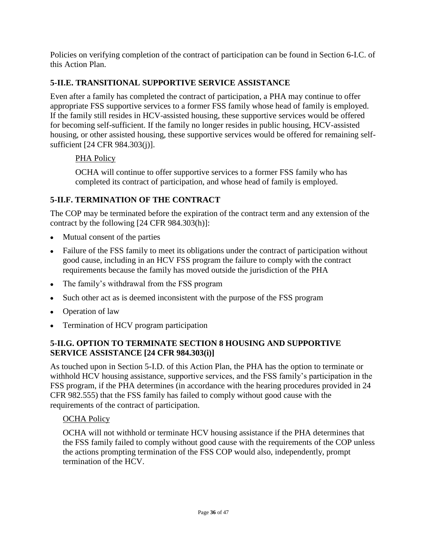Policies on verifying completion of the contract of participation can be found in Section 6-I.C. of this Action Plan.

## **5-II.E. TRANSITIONAL SUPPORTIVE SERVICE ASSISTANCE**

Even after a family has completed the contract of participation, a PHA may continue to offer appropriate FSS supportive services to a former FSS family whose head of family is employed. If the family still resides in HCV-assisted housing, these supportive services would be offered for becoming self-sufficient. If the family no longer resides in public housing, HCV-assisted housing, or other assisted housing, these supportive services would be offered for remaining selfsufficient [24 CFR 984.303(j)].

## PHA Policy

OCHA will continue to offer supportive services to a former FSS family who has completed its contract of participation, and whose head of family is employed.

## **5-II.F. TERMINATION OF THE CONTRACT**

The COP may be terminated before the expiration of the contract term and any extension of the contract by the following [24 CFR 984.303(h)]:

- Mutual consent of the parties
- Failure of the FSS family to meet its obligations under the contract of participation without good cause, including in an HCV FSS program the failure to comply with the contract requirements because the family has moved outside the jurisdiction of the PHA
- The family's withdrawal from the FSS program
- Such other act as is deemed inconsistent with the purpose of the FSS program
- Operation of law
- Termination of HCV program participation

## **5-II.G. OPTION TO TERMINATE SECTION 8 HOUSING AND SUPPORTIVE SERVICE ASSISTANCE [24 CFR 984.303(i)]**

As touched upon in Section 5-I.D. of this Action Plan, the PHA has the option to terminate or withhold HCV housing assistance, supportive services, and the FSS family's participation in the FSS program, if the PHA determines (in accordance with the hearing procedures provided in 24 CFR 982.555) that the FSS family has failed to comply without good cause with the requirements of the contract of participation.

## OCHA Policy

OCHA will not withhold or terminate HCV housing assistance if the PHA determines that the FSS family failed to comply without good cause with the requirements of the COP unless the actions prompting termination of the FSS COP would also, independently, prompt termination of the HCV.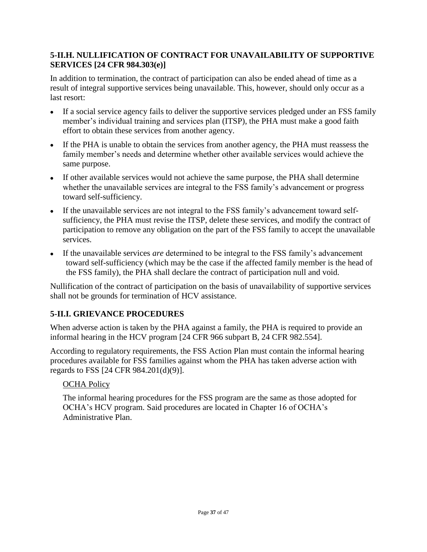## **5-II.H. NULLIFICATION OF CONTRACT FOR UNAVAILABILITY OF SUPPORTIVE SERVICES [24 CFR 984.303(e)]**

In addition to termination, the contract of participation can also be ended ahead of time as a result of integral supportive services being unavailable. This, however, should only occur as a last resort:

- If a social service agency fails to deliver the supportive services pledged under an FSS family member's individual training and services plan (ITSP), the PHA must make a good faith effort to obtain these services from another agency.
- If the PHA is unable to obtain the services from another agency, the PHA must reassess the family member's needs and determine whether other available services would achieve the same purpose.
- If other available services would not achieve the same purpose, the PHA shall determine whether the unavailable services are integral to the FSS family's advancement or progress toward self-sufficiency.
- If the unavailable services are not integral to the FSS family's advancement toward selfsufficiency, the PHA must revise the ITSP, delete these services, and modify the contract of participation to remove any obligation on the part of the FSS family to accept the unavailable services.
- If the unavailable services *are* determined to be integral to the FSS family's advancement toward self-sufficiency (which may be the case if the affected family member is the head of the FSS family), the PHA shall declare the contract of participation null and void.

Nullification of the contract of participation on the basis of unavailability of supportive services shall not be grounds for termination of HCV assistance.

## **5-II.I. GRIEVANCE PROCEDURES**

When adverse action is taken by the PHA against a family, the PHA is required to provide an informal hearing in the HCV program [24 CFR 966 subpart B, 24 CFR 982.554].

According to regulatory requirements, the FSS Action Plan must contain the informal hearing procedures available for FSS families against whom the PHA has taken adverse action with regards to FSS [24 CFR 984.201(d)(9)].

## OCHA Policy

The informal hearing procedures for the FSS program are the same as those adopted for OCHA's HCV program. Said procedures are located in Chapter 16 of OCHA's Administrative Plan.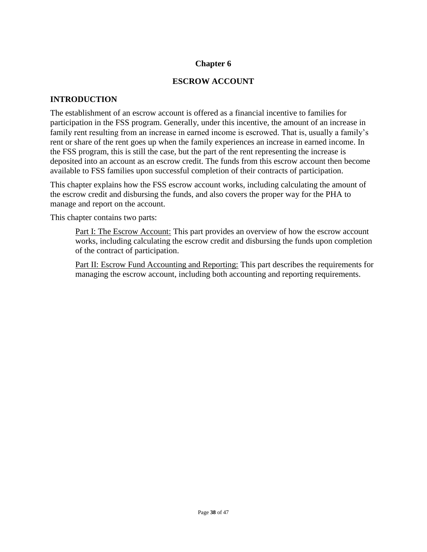## **Chapter 6**

#### **ESCROW ACCOUNT**

#### **INTRODUCTION**

The establishment of an escrow account is offered as a financial incentive to families for participation in the FSS program. Generally, under this incentive, the amount of an increase in family rent resulting from an increase in earned income is escrowed. That is, usually a family's rent or share of the rent goes up when the family experiences an increase in earned income. In the FSS program, this is still the case, but the part of the rent representing the increase is deposited into an account as an escrow credit. The funds from this escrow account then become available to FSS families upon successful completion of their contracts of participation.

This chapter explains how the FSS escrow account works, including calculating the amount of the escrow credit and disbursing the funds, and also covers the proper way for the PHA to manage and report on the account.

This chapter contains two parts:

Part I: The Escrow Account: This part provides an overview of how the escrow account works, including calculating the escrow credit and disbursing the funds upon completion of the contract of participation.

Part II: Escrow Fund Accounting and Reporting: This part describes the requirements for managing the escrow account, including both accounting and reporting requirements.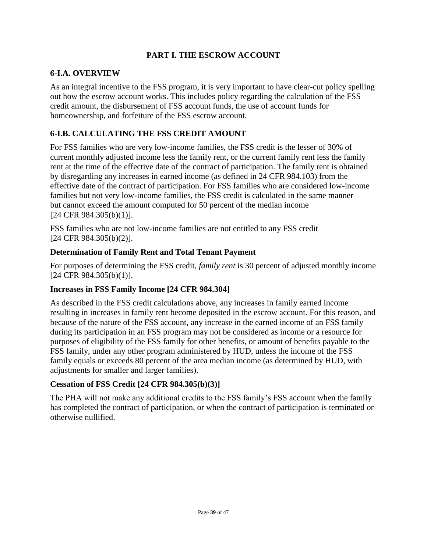## **PART I. THE ESCROW ACCOUNT**

#### **6-I.A. OVERVIEW**

As an integral incentive to the FSS program, it is very important to have clear-cut policy spelling out how the escrow account works. This includes policy regarding the calculation of the FSS credit amount, the disbursement of FSS account funds, the use of account funds for homeownership, and forfeiture of the FSS escrow account.

## **6-I.B. CALCULATING THE FSS CREDIT AMOUNT**

For FSS families who are very low-income families, the FSS credit is the lesser of 30% of current monthly adjusted income less the family rent, or the current family rent less the family rent at the time of the effective date of the contract of participation. The family rent is obtained by disregarding any increases in earned income (as defined in 24 CFR 984.103) from the effective date of the contract of participation. For FSS families who are considered low-income families but not very low-income families, the FSS credit is calculated in the same manner but cannot exceed the amount computed for 50 percent of the median income [24 CFR 984.305(b)(1)].

FSS families who are not low-income families are not entitled to any FSS credit [24 CFR 984.305(b)(2)].

#### **Determination of Family Rent and Total Tenant Payment**

For purposes of determining the FSS credit, *family rent* is 30 percent of adjusted monthly income [24 CFR 984.305(b)(1)].

#### **Increases in FSS Family Income [24 CFR 984.304]**

As described in the FSS credit calculations above, any increases in family earned income resulting in increases in family rent become deposited in the escrow account. For this reason, and because of the nature of the FSS account, any increase in the earned income of an FSS family during its participation in an FSS program may not be considered as income or a resource for purposes of eligibility of the FSS family for other benefits, or amount of benefits payable to the FSS family, under any other program administered by HUD, unless the income of the FSS family equals or exceeds 80 percent of the area median income (as determined by HUD, with adjustments for smaller and larger families).

## **Cessation of FSS Credit [24 CFR 984.305(b)(3)]**

The PHA will not make any additional credits to the FSS family's FSS account when the family has completed the contract of participation, or when the contract of participation is terminated or otherwise nullified.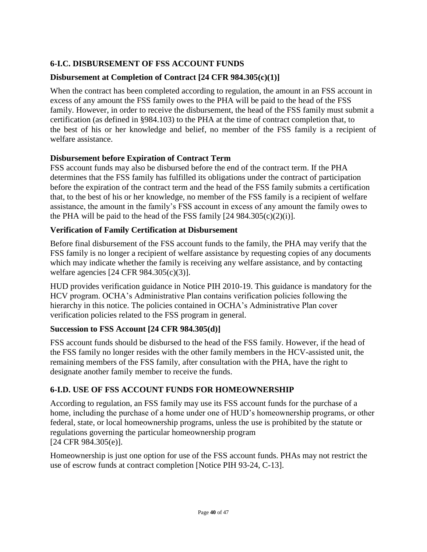## **6-I.C. DISBURSEMENT OF FSS ACCOUNT FUNDS**

## **Disbursement at Completion of Contract [24 CFR 984.305(c)(1)]**

When the contract has been completed according to regulation, the amount in an FSS account in excess of any amount the FSS family owes to the PHA will be paid to the head of the FSS family. However, in order to receive the disbursement, the head of the FSS family must submit a certification (as defined in §984.103) to the PHA at the time of contract completion that, to the best of his or her knowledge and belief, no member of the FSS family is a recipient of welfare assistance.

#### **Disbursement before Expiration of Contract Term**

FSS account funds may also be disbursed before the end of the contract term. If the PHA determines that the FSS family has fulfilled its obligations under the contract of participation before the expiration of the contract term and the head of the FSS family submits a certification that, to the best of his or her knowledge, no member of the FSS family is a recipient of welfare assistance, the amount in the family's FSS account in excess of any amount the family owes to the PHA will be paid to the head of the FSS family  $[24 984.305(c)(2)(i)].$ 

## **Verification of Family Certification at Disbursement**

Before final disbursement of the FSS account funds to the family, the PHA may verify that the FSS family is no longer a recipient of welfare assistance by requesting copies of any documents which may indicate whether the family is receiving any welfare assistance, and by contacting welfare agencies [24 CFR 984.305(c)(3)].

HUD provides verification guidance in Notice PIH 2010-19. This guidance is mandatory for the HCV program. OCHA's Administrative Plan contains verification policies following the hierarchy in this notice. The policies contained in OCHA's Administrative Plan cover verification policies related to the FSS program in general.

#### **Succession to FSS Account [24 CFR 984.305(d)]**

FSS account funds should be disbursed to the head of the FSS family. However, if the head of the FSS family no longer resides with the other family members in the HCV-assisted unit, the remaining members of the FSS family, after consultation with the PHA, have the right to designate another family member to receive the funds.

## **6-I.D. USE OF FSS ACCOUNT FUNDS FOR HOMEOWNERSHIP**

According to regulation, an FSS family may use its FSS account funds for the purchase of a home, including the purchase of a home under one of HUD's homeownership programs, or other federal, state, or local homeownership programs, unless the use is prohibited by the statute or regulations governing the particular homeownership program [24 CFR 984.305(e)].

Homeownership is just one option for use of the FSS account funds. PHAs may not restrict the use of escrow funds at contract completion [Notice PIH 93-24, C-13].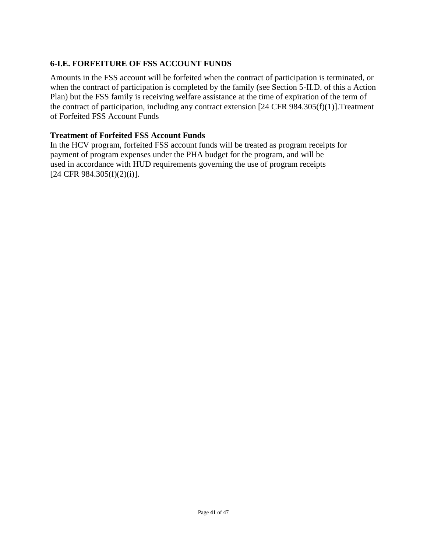## **6-I.E. FORFEITURE OF FSS ACCOUNT FUNDS**

Amounts in the FSS account will be forfeited when the contract of participation is terminated, or when the contract of participation is completed by the family (see Section 5-II.D. of this a Action Plan) but the FSS family is receiving welfare assistance at the time of expiration of the term of the contract of participation, including any contract extension [24 CFR 984.305(f)(1)].Treatment of Forfeited FSS Account Funds

#### **Treatment of Forfeited FSS Account Funds**

In the HCV program, forfeited FSS account funds will be treated as program receipts for payment of program expenses under the PHA budget for the program, and will be used in accordance with HUD requirements governing the use of program receipts [24 CFR 984.305(f)(2)(i)].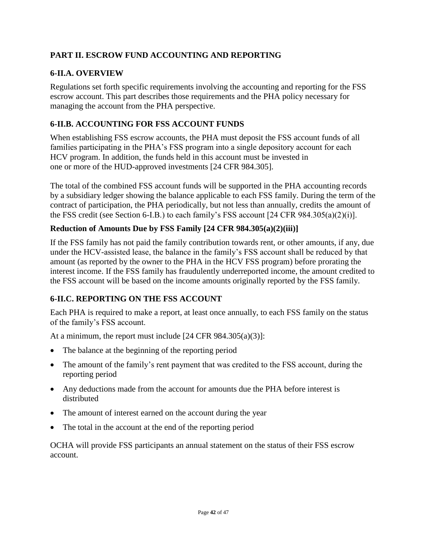## **PART II. ESCROW FUND ACCOUNTING AND REPORTING**

## **6-II.A. OVERVIEW**

Regulations set forth specific requirements involving the accounting and reporting for the FSS escrow account. This part describes those requirements and the PHA policy necessary for managing the account from the PHA perspective.

## **6-II.B. ACCOUNTING FOR FSS ACCOUNT FUNDS**

When establishing FSS escrow accounts, the PHA must deposit the FSS account funds of all families participating in the PHA's FSS program into a single depository account for each HCV program. In addition, the funds held in this account must be invested in one or more of the HUD-approved investments [24 CFR 984.305].

The total of the combined FSS account funds will be supported in the PHA accounting records by a subsidiary ledger showing the balance applicable to each FSS family. During the term of the contract of participation, the PHA periodically, but not less than annually, credits the amount of the FSS credit (see Section 6-I.B.) to each family's FSS account [24 CFR 984.305(a)(2)(i)].

## **Reduction of Amounts Due by FSS Family [24 CFR 984.305(a)(2)(iii)]**

If the FSS family has not paid the family contribution towards rent, or other amounts, if any, due under the HCV-assisted lease, the balance in the family's FSS account shall be reduced by that amount (as reported by the owner to the PHA in the HCV FSS program) before prorating the interest income. If the FSS family has fraudulently underreported income, the amount credited to the FSS account will be based on the income amounts originally reported by the FSS family.

## **6-II.C. REPORTING ON THE FSS ACCOUNT**

Each PHA is required to make a report, at least once annually, to each FSS family on the status of the family's FSS account.

At a minimum, the report must include [24 CFR 984.305(a)(3)]:

- The balance at the beginning of the reporting period
- The amount of the family's rent payment that was credited to the FSS account, during the reporting period
- Any deductions made from the account for amounts due the PHA before interest is distributed
- The amount of interest earned on the account during the year
- The total in the account at the end of the reporting period

OCHA will provide FSS participants an annual statement on the status of their FSS escrow account.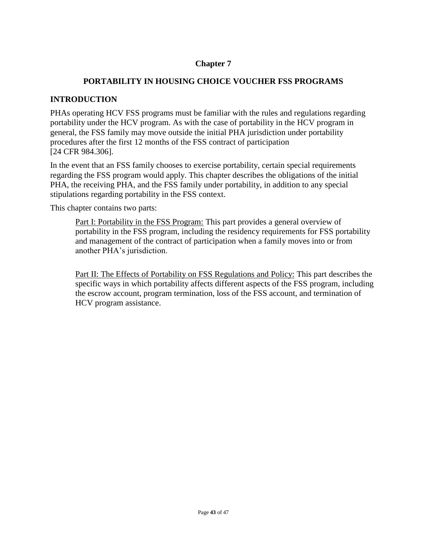## **Chapter 7**

#### **PORTABILITY IN HOUSING CHOICE VOUCHER FSS PROGRAMS**

#### **INTRODUCTION**

PHAs operating HCV FSS programs must be familiar with the rules and regulations regarding portability under the HCV program. As with the case of portability in the HCV program in general, the FSS family may move outside the initial PHA jurisdiction under portability procedures after the first 12 months of the FSS contract of participation [24 CFR 984.306].

In the event that an FSS family chooses to exercise portability, certain special requirements regarding the FSS program would apply. This chapter describes the obligations of the initial PHA, the receiving PHA, and the FSS family under portability, in addition to any special stipulations regarding portability in the FSS context.

This chapter contains two parts:

Part I: Portability in the FSS Program: This part provides a general overview of portability in the FSS program, including the residency requirements for FSS portability and management of the contract of participation when a family moves into or from another PHA's jurisdiction.

Part II: The Effects of Portability on FSS Regulations and Policy: This part describes the specific ways in which portability affects different aspects of the FSS program, including the escrow account, program termination, loss of the FSS account, and termination of HCV program assistance.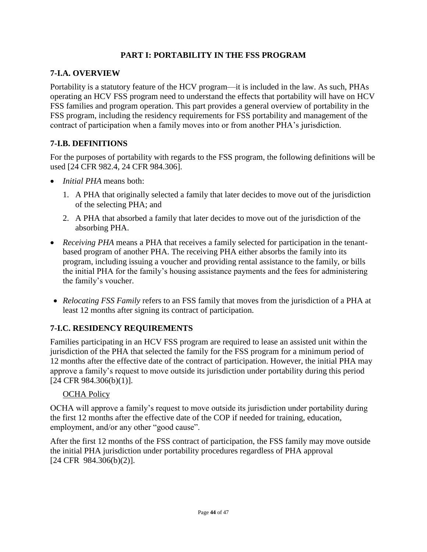## **PART I: PORTABILITY IN THE FSS PROGRAM**

## **7-I.A. OVERVIEW**

Portability is a statutory feature of the HCV program—it is included in the law. As such, PHAs operating an HCV FSS program need to understand the effects that portability will have on HCV FSS families and program operation. This part provides a general overview of portability in the FSS program, including the residency requirements for FSS portability and management of the contract of participation when a family moves into or from another PHA's jurisdiction.

## **7-I.B. DEFINITIONS**

For the purposes of portability with regards to the FSS program, the following definitions will be used [24 CFR 982.4, 24 CFR 984.306].

- *Initial PHA* means both:
	- 1. A PHA that originally selected a family that later decides to move out of the jurisdiction of the selecting PHA; and
	- 2. A PHA that absorbed a family that later decides to move out of the jurisdiction of the absorbing PHA.
- *Receiving PHA* means a PHA that receives a family selected for participation in the tenantbased program of another PHA. The receiving PHA either absorbs the family into its program, including issuing a voucher and providing rental assistance to the family, or bills the initial PHA for the family's housing assistance payments and the fees for administering the family's voucher.
- *Relocating FSS Family* refers to an FSS family that moves from the jurisdiction of a PHA at least 12 months after signing its contract of participation.

## **7-I.C. RESIDENCY REQUIREMENTS**

Families participating in an HCV FSS program are required to lease an assisted unit within the jurisdiction of the PHA that selected the family for the FSS program for a minimum period of 12 months after the effective date of the contract of participation. However, the initial PHA may approve a family's request to move outside its jurisdiction under portability during this period [24 CFR 984.306(b)(1)].

#### OCHA Policy

OCHA will approve a family's request to move outside its jurisdiction under portability during the first 12 months after the effective date of the COP if needed for training, education, employment, and/or any other "good cause".

After the first 12 months of the FSS contract of participation, the FSS family may move outside the initial PHA jurisdiction under portability procedures regardless of PHA approval [24 CFR 984.306(b)(2)].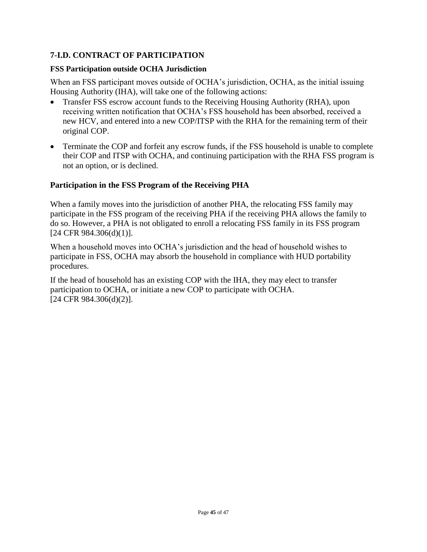## **7-I.D. CONTRACT OF PARTICIPATION**

#### **FSS Participation outside OCHA Jurisdiction**

When an FSS participant moves outside of OCHA's jurisdiction, OCHA, as the initial issuing Housing Authority (IHA), will take one of the following actions:

- Transfer FSS escrow account funds to the Receiving Housing Authority (RHA), upon receiving written notification that OCHA's FSS household has been absorbed, received a new HCV, and entered into a new COP/ITSP with the RHA for the remaining term of their original COP.
- Terminate the COP and forfeit any escrow funds, if the FSS household is unable to complete their COP and ITSP with OCHA, and continuing participation with the RHA FSS program is not an option, or is declined.

#### **Participation in the FSS Program of the Receiving PHA**

When a family moves into the jurisdiction of another PHA, the relocating FSS family may participate in the FSS program of the receiving PHA if the receiving PHA allows the family to do so. However, a PHA is not obligated to enroll a relocating FSS family in its FSS program [24 CFR 984.306(d)(1)].

When a household moves into OCHA's jurisdiction and the head of household wishes to participate in FSS, OCHA may absorb the household in compliance with HUD portability procedures.

If the head of household has an existing COP with the IHA, they may elect to transfer participation to OCHA, or initiate a new COP to participate with OCHA. [24 CFR 984.306(d)(2)].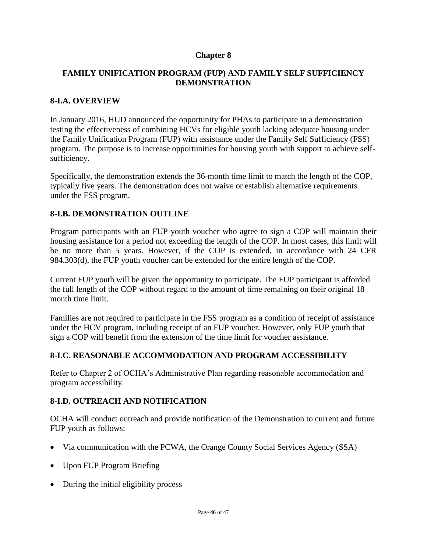#### **Chapter 8**

#### **FAMILY UNIFICATION PROGRAM (FUP) AND FAMILY SELF SUFFICIENCY DEMONSTRATION**

#### **8-I.A. OVERVIEW**

In January 2016, HUD announced the opportunity for PHAs to participate in a demonstration testing the effectiveness of combining HCVs for eligible youth lacking adequate housing under the Family Unification Program (FUP) with assistance under the Family Self Sufficiency (FSS) program. The purpose is to increase opportunities for housing youth with support to achieve selfsufficiency.

Specifically, the demonstration extends the 36-month time limit to match the length of the COP, typically five years. The demonstration does not waive or establish alternative requirements under the FSS program.

#### **8-I.B. DEMONSTRATION OUTLINE**

Program participants with an FUP youth voucher who agree to sign a COP will maintain their housing assistance for a period not exceeding the length of the COP. In most cases, this limit will be no more than 5 years. However, if the COP is extended, in accordance with 24 CFR 984.303(d), the FUP youth voucher can be extended for the entire length of the COP.

Current FUP youth will be given the opportunity to participate. The FUP participant is afforded the full length of the COP without regard to the amount of time remaining on their original 18 month time limit.

Families are not required to participate in the FSS program as a condition of receipt of assistance under the HCV program, including receipt of an FUP voucher. However, only FUP youth that sign a COP will benefit from the extension of the time limit for voucher assistance.

#### **8-I.C. REASONABLE ACCOMMODATION AND PROGRAM ACCESSIBILITY**

Refer to Chapter 2 of OCHA's Administrative Plan regarding reasonable accommodation and program accessibility.

#### **8-I.D. OUTREACH AND NOTIFICATION**

OCHA will conduct outreach and provide notification of the Demonstration to current and future FUP youth as follows:

- Via communication with the PCWA, the Orange County Social Services Agency (SSA)
- Upon FUP Program Briefing
- During the initial eligibility process